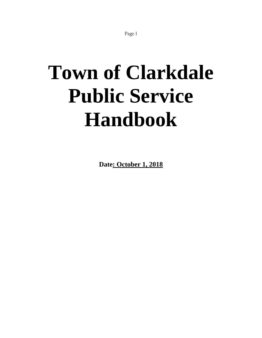# **Town of Clarkdale Public Service Handbook**

**Date: October 1, 2018**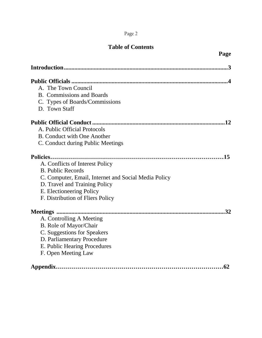# **Table of Contents**

| Page                                                 |
|------------------------------------------------------|
|                                                      |
|                                                      |
| A. The Town Council                                  |
| <b>B.</b> Commissions and Boards                     |
| C. Types of Boards/Commissions                       |
| D. Town Staff                                        |
|                                                      |
| A. Public Official Protocols                         |
| <b>B.</b> Conduct with One Another                   |
| C. Conduct during Public Meetings                    |
|                                                      |
| A. Conflicts of Interest Policy                      |
| <b>B.</b> Public Records                             |
| C. Computer, Email, Internet and Social Media Policy |
| D. Travel and Training Policy                        |
| E. Electioneering Policy                             |
| F. Distribution of Fliers Policy                     |
| Meetings                                             |
| A. Controlling A Meeting                             |
| B. Role of Mayor/Chair                               |
| C. Suggestions for Speakers                          |
| D. Parliamentary Procedure                           |
| E. Public Hearing Procedures                         |
| F. Open Meeting Law                                  |
|                                                      |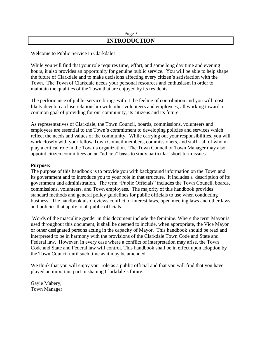## Page 3 **INTRODUCTION**

## Welcome to Public Service in Clarkdale!

While you will find that your role requires time, effort, and some long day time and evening hours, it also provides an opportunity for genuine public service. You will be able to help shape the future of Clarkdale and to make decisions affecting every citizen's satisfaction with the Town. The Town of Clarkdale needs your personal resources and enthusiasm in order to maintain the qualities of the Town that are enjoyed by its residents.

The performance of public service brings with it the feeling of contribution and you will most likely develop a close relationship with other volunteers and employees, all working toward a common goal of providing for our community, its citizens and its future.

As representatives of Clarkdale, the Town Council, boards, commissions, volunteers and employees are essential to the Town's commitment to developing policies and services which reflect the needs and values of the community. While carrying out your responsibilities, you will work closely with your fellow Town Council members, commissioners, and staff - all of whom play a critical role in the Town's organization. The Town Council or Town Manager may also appoint citizen committees on an "ad hoc" basis to study particular, short-term issues.

#### **Purpose:**

The purpose of this handbook is to provide you with background information on the Town and its government and to introduce you to your role in that structure. It includes a description of its government and administration. The term "Public Officials" includes the Town Council, boards, commissions, volunteers, and Town employees. The majority of this handbook provides standard methods and general policy guidelines for public officials to use when conducting business. The handbook also reviews conflict of interest laws, open meeting laws and other laws and policies that apply to all public officials.

Words of the masculine gender in this document include the feminine. Where the term Mayor is used throughout this document, it shall be deemed to include, when appropriate, the Vice Mayor or other designated persons acting in the capacity of Mayor. This handbook should be read and interpreted to be in harmony with the provisions of the Clarkdale Town Code and State and Federal law. However, in every case where a conflict of interpretation may arise, the Town Code and State and Federal law will control. This handbook shall be in effect upon adoption by the Town Council until such time as it may be amended.

We think that you will enjoy your role as a public official and that you will find that you have played an important part in shaping Clarkdale's future.

Gayle Mabery, Town Manager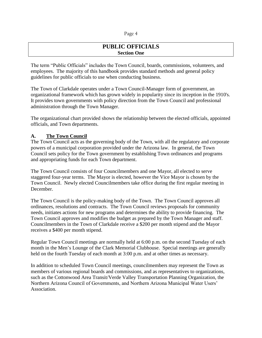## **PUBLIC OFFICIALS Section One**

The term "Public Officials" includes the Town Council, boards, commissions, volunteers, and employees. The majority of this handbook provides standard methods and general policy guidelines for public officials to use when conducting business.

The Town of Clarkdale operates under a Town Council-Manager form of government, an organizational framework which has grown widely in popularity since its inception in the 1910's. It provides town governments with policy direction from the Town Council and professional administration through the Town Manager.

The organizational chart provided shows the relationship between the elected officials, appointed officials, and Town departments.

## **A. The Town Council**

The Town Council acts as the governing body of the Town, with all the regulatory and corporate powers of a municipal corporation provided under the Arizona law. In general, the Town Council sets policy for the Town government by establishing Town ordinances and programs and appropriating funds for each Town department.

The Town Council consists of four Councilmembers and one Mayor, all elected to serve staggered four-year terms. The Mayor is elected, however the Vice Mayor is chosen by the Town Council. Newly elected Councilmembers take office during the first regular meeting in December.

The Town Council is the policy-making body of the Town. The Town Council approves all ordinances, resolutions and contracts. The Town Council reviews proposals for community needs, initiates actions for new programs and determines the ability to provide financing. The Town Council approves and modifies the budget as prepared by the Town Manager and staff. Councilmembers in the Town of Clarkdale receive a \$200 per month stipend and the Mayor receives a \$400 per month stipend.

Regular Town Council meetings are normally held at 6:00 p.m. on the second Tuesday of each month in the Men's Lounge of the Clark Memorial Clubhouse. Special meetings are generally held on the fourth Tuesday of each month at 3:00 p.m. and at other times as necessary.

In addition to scheduled Town Council meetings, councilmembers may represent the Town as members of various regional boards and commissions, and as representatives to organizations, such as the Cottonwood Area Transit/Verde Valley Transportation Planning Organization, the Northern Arizona Council of Governments, and Northern Arizona Municipal Water Users' Association.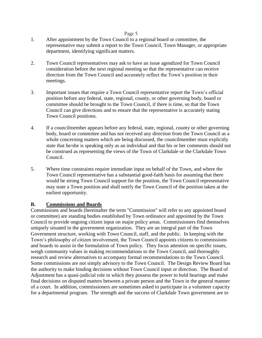- 1. After appointment by the Town Council to a regional board or committee, the representative may submit a report to the Town Council, Town Manager, or appropriate department, identifying significant matters.
- 2. Town Council representatives may ask to have an issue agendized for Town Council consideration before the next regional meeting so that the representative can receive direction from the Town Council and accurately reflect the Town's position in their meetings.
- 3. Important issues that require a Town Council representative report the Town's official position before any federal, state, regional, county, or other governing body, board or committee should be brought to the Town Council, if there is time, so that the Town Council can give directions and to ensure that the representative is accurately stating Town Council positions.
- 4. If a councilmember appears before any federal, state, regional, county or other governing body, board or committee and has not received any direction from the Town Council as a whole concerning matters which are being discussed, the councilmember must explicitly state that he/she is speaking only as an individual and that his or her comments should not be construed as representing the views of the Town of Clarkdale or the Clarkdale Town Council.
- 5. Where time constraints require immediate input on behalf of the Town, and where the Town Council representative has a substantial good-faith basis for assuming that there would be strong Town Council support for the position, the Town Council representative may state a Town position and shall notify the Town Council of the position taken at the earliest opportunity.

#### **B. Commissions and Boards**

Commissions and boards (hereinafter the term "Commission" will refer to any appointed board or committee) are standing bodies established by Town ordinance and appointed by the Town Council to provide ongoing citizen input on major policy areas. Commissioners find themselves uniquely situated in the government organization. They are an integral part of the Town Government structure, working with Town Council, staff, and the public. In keeping with the Town's philosophy of citizen involvement, the Town Council appoints citizens to commissions and boards to assist in the formulation of Town policy. They focus attention on specific issues, weigh community values in making recommendations to the Town Council, and thoroughly research and review alternatives to accompany formal recommendations to the Town Council. Some commissions are not simply advisory to the Town Council. The Design Review Board has the authority to make binding decisions without Town Council input or direction. The Board of Adjustment has a quasi-judicial role in which they possess the power to hold hearings and make final decisions on disputed matters between a private person and the Town in the general manner of a court. In addition, commissioners are sometimes asked to participate in a volunteer capacity for a departmental program. The strength and the success of Clarkdale Town government are to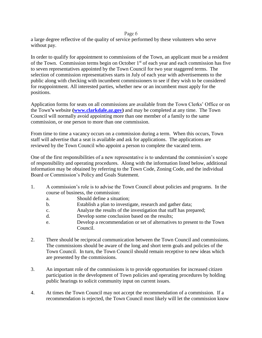a large degree reflective of the quality of service performed by these volunteers who serve without pay.

In order to qualify for appointment to commissions of the Town, an applicant must be a resident of the Town. Commission terms begin on October 1<sup>st</sup> of each year and each commission has five to seven representatives appointed by the Town Council for two year staggered terms. The selection of commission representatives starts in July of each year with advertisements to the public along with checking with incumbent commissioners to see if they wish to be considered for reappointment. All interested parties, whether new or an incumbent must apply for the positions.

Application forms for seats on all commissions are available from the Town Clerks' Office or on the Town**'s** website **[\(www.clarkdale.az.gov\)](http://www.clarkdale.az.gov/)** and may be completed at any time. The Town Council will normally avoid appointing more than one member of a family to the same commission, or one person to more than one commission.

From time to time a vacancy occurs on a commission during a term. When this occurs, Town staff will advertise that a seat is available and ask for applications. The applications are reviewed by the Town Council who appoint a person to complete the vacated term.

One of the first responsibilities of a new representative is to understand the commission's scope of responsibility and operating procedures. Along with the information listed below, additional information may be obtained by referring to the Town Code, Zoning Code, and the individual Board or Commission's Policy and Goals Statement.

- 1. A commission's role is to advise the Town Council about policies and programs. In the course of business, the commission:
	- a. Should define a situation;
	- b. Establish a plan to investigate, research and gather data;
	- c. Analyze the results of the investigation that staff has prepared;
	- d. Develop some conclusion based on the results;
	- e. Develop a recommendation or set of alternatives to present to the Town Council.
- 2. There should be reciprocal communication between the Town Council and commissions. The commissions should be aware of the long and short term goals and policies of the Town Council. In turn, the Town Council should remain receptive to new ideas which are presented by the commissions.
- 3. An important role of the commissions is to provide opportunities for increased citizen participation in the development of Town policies and operating procedures by holding public hearings to solicit community input on current issues.
- 4. At times the Town Council may not accept the recommendation of a commission. If a recommendation is rejected, the Town Council most likely will let the commission know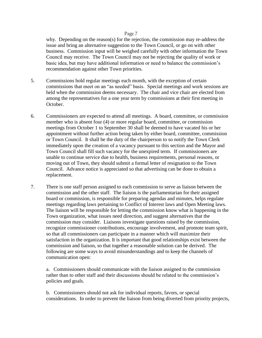why. Depending on the reason(s) for the rejection, the commission may re-address the issue and bring an alternative suggestion to the Town Council, or go on with other business. Commission input will be weighed carefully with other information the Town Council may receive. The Town Council may not be rejecting the quality of work or basic idea, but may have additional information or need to balance the commission's recommendation against other Town priorities.

- 5. Commissions hold regular meetings each month, with the exception of certain commissions that meet on an "as needed" basis. Special meetings and work sessions are held when the commission deems necessary. The chair and vice chair are elected from among the representatives for a one year term by commissions at their first meeting in October.
- 6. Commissioners are expected to attend all meetings. A board, committee, or commission member who is absent four (4) or more regular board, committee, or commission meetings from October 1 to September 30 shall be deemed to have vacated his or her appointment without further action being taken by either board, committee, commission or Town Council. It shall be the duty of the chairperson to so notify the Town Clerk immediately upon the creation of a vacancy pursuant to this section and the Mayor and Town Council shall fill such vacancy for the unexpired term. If commissioners are unable to continue service due to health, business requirements, personal reasons, or moving out of Town, they should submit a formal letter of resignation to the Town Council. Advance notice is appreciated so that advertising can be done to obtain a replacement.
- 7. There is one staff person assigned to each commission to serve as liaison between the commission and the other staff. The liaison is the parliamentarian for their assigned board or commission, is responsible for preparing agendas and minutes, helps regulate meetings regarding laws pertaining to Conflict of Interest laws and Open Meeting laws. The liaison will be responsible for letting the commission know what is happening in the Town organization, what issues need direction, and suggest alternatives that the commission may consider. Liaisons investigate questions raised by the commission, recognize commissioner contributions, encourage involvement, and promote team spirit, so that all commissioners can participate in a manner which will maximize their satisfaction in the organization. It is important that good relationships exist between the commission and liaison, so that together a reasonable solution can be derived. The following are some ways to avoid misunderstandings and to keep the channels of communication open:

a. Commissioners should communicate with the liaison assigned to the commission rather than to other staff and their discussions should be related to the commission's policies and goals.

b. Commissioners should not ask for individual reports, favors, or special considerations. In order to prevent the liaison from being diverted from priority projects,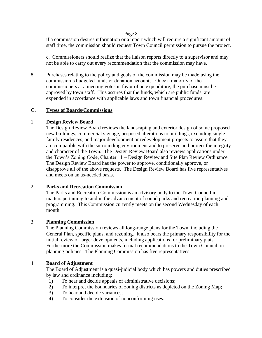if a commission desires information or a report which will require a significant amount of staff time, the commission should request Town Council permission to pursue the project.

c. Commissioners should realize that the liaison reports directly to a supervisor and may not be able to carry out every recommendation that the commission may have.

8. Purchases relating to the policy and goals of the commission may be made using the commission's budgeted funds or donation accounts. Once a majority of the commissioners at a meeting votes in favor of an expenditure, the purchase must be approved by town staff. This assures that the funds, which are public funds, are expended in accordance with applicable laws and town financial procedures.

#### **C. Types of Boards/Commissions**

#### 1. **Design Review Board**

The Design Review Board reviews the landscaping and exterior design of some proposed new buildings, commercial signage, proposed alterations to buildings, excluding single family residences, and major development or redevelopment projects to assure that they are compatible with the surrounding environment and to preserve and protect the integrity and character of the Town. The Design Review Board also reviews applications under the Town's Zoning Code, Chapter 11 – Design Review and Site Plan Review Ordinance. The Design Review Board has the power to approve, conditionally approve, or disapprove all of the above requests. The Design Review Board has five representatives and meets on an as-needed basis.

#### 2. **Parks and Recreation Commission**

The Parks and Recreation Commission is an advisory body to the Town Council in matters pertaining to and in the advancement of sound parks and recreation planning and programming. This Commission currently meets on the second Wednesday of each month.

#### 3. **Planning Commission**

The Planning Commission reviews all long-range plans for the Town, including the General Plan, specific plans, and rezoning. It also bears the primary responsibility for the initial review of larger developments, including applications for preliminary plats. Furthermore the Commission makes formal recommendations to the Town Council on planning policies. The Planning Commission has five representatives.

#### 4. **Board of Adjustment**

The Board of Adjustment is a quasi-judicial body which has powers and duties prescribed by law and ordinance including:

- 1) To hear and decide appeals of administrative decisions;
- 2) To interpret the boundaries of zoning districts as depicted on the Zoning Map;
- 3) To hear and decide variances;
- 4) To consider the extension of nonconforming uses.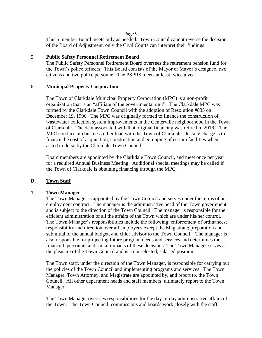This 5 member Board meets only as needed. Town Council cannot reverse the decision of the Board of Adjustment, only the Civil Courts can interpret their findings.

#### 5. **Public Safety Personnel Retirement Board**

The Public Safety Personnel Retirement Board oversees the retirement pension fund for the Town's police officers. This Board consists of the Mayor or Mayor's designee, two citizens and two police personnel. The PSPRS meets at least twice a year.

## 6. **Municipal Property Corporation**

The Town of Clarkdale Municipal Property Corporation (MPC) is a non-profit organization that is an "affiliate of the governmental unit". The Clarkdale MPC was formed by the Clarkdale Town Council with the adoption of Resolution #835 on December 19, 1996. The MPC was originally formed to finance the construction of wastewater collection system improvements in the Centerville neighborhood in the Town of Clarkdale. The debt associated with that original financing was retired in 2016. The MPC conducts no business other than with the Town of Clarkdale. Its sole charge is to finance the cost of acquisition, construction and equipping of certain facilities when asked to do so by the Clarkdale Town Council.

Board members are appointed by the Clarkdale Town Council, and meet once per year for a required Annual Business Meeting. Additional special meetings may be called if the Town of Clarkdale is obtaining financing through the MPC.

## **D. Town Staff**

## **1. Town Manager**

The Town Manager is appointed by the Town Council and serves under the terms of an employment contract. The manager is the administrative head of the Town government and is subject to the direction of the Town Council. The manager is responsible for the efficient administration of all the affairs of the Town which are under his/her control. The Town Manager's responsibilities include the following: enforcement of ordinances; responsibility and direction over all employees except the Magistrate; preparation and submittal of the annual budget, and chief advisor to the Town Council. The manager is also responsible for projecting future program needs and services and determines the financial, personnel and social impacts of these decisions. The Town Manager serves at the pleasure of the Town Council and is a non-elected, salaried position.

The Town staff, under the direction of the Town Manager, is responsible for carrying out the policies of the Town Council and implementing programs and services. The Town Manager, Town Attorney, and Magistrate are appointed by, and report to, the Town Council. All other department heads and staff members ultimately report to the Town Manager.

The Town Manager oversees responsibilities for the day-to-day administrative affairs of the Town. The Town Council, commissions and boards work closely with the staff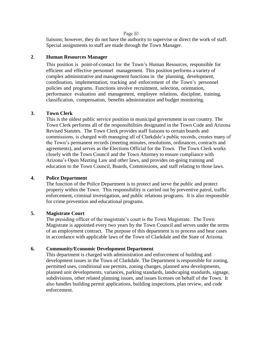liaisons; however, they do not have the authority to supervise or direct the work of staff. Special assignments to staff are made through the Town Manager.

## **2**. **Human Resources Manager**

This position is point-of-contact for the Town's Human Resources, responsible for efficient and effective personnel management. This position performs a variety of complex administrative and management functions in the planning, development, coordination, implementation, tracking and enforcement of the Town's personnel policies and programs. Functions involve recruitment, selection, orientation, performance evaluation and management, employee relations, discipline, training, classification, compensation, benefits administration and budget monitoring.

#### **3. Town Clerk**

This is the oldest public service position in municipal government in our country. The Town Clerk performs all of the responsibilities designated in the Town Code and Arizona Revised Statutes. The Town Clerk provides staff liaisons to certain boards and commissions, is charged with managing all of Clarkdale's public records, creates many of the Town's permanent records (meeting minutes, resolutions, ordinances, contracts and agreements), and serves as the Elections Official for the Town. The Town Clerk works closely with the Town Council and the Town Attorney to ensure compliance with Arizona's Open Meeting Law and other laws, and provides on-going training and education to the Town Council, Boards, Commissions, and staff relating to those laws.

#### **4. Police Department**

The function of the Police Department is to protect and serve the public and protect property within the Town. This responsibility is carried out by preventive patrol, traffic enforcement, criminal investigation, and public relations programs. It is also responsible for crime prevention and educational programs.

#### **5. Magistrate Court**

The presiding officer of the magistrate's court is the Town Magistrate. The Town Magistrate is appointed every two years by the Town Council and serves under the terms of an employment contract. The purpose of this department is to process and hear cases in accordance with applicable laws of the Town of Clarkdale and the State of Arizona.

## **6. Community/Economic Development Department**

This department is charged with administration and enforcement of building and development issues in the Town of Clarkdale. The Department is responsible for zoning, permitted uses, conditional use permits, zoning changes, planned area developments, planned unit developments, variances, parking standards, landscaping standards, signage, subdivisions, other related planning issues, and issues licenses on behalf of the Town. It also handles building permit applications, building inspections, plan review, and code enforcement.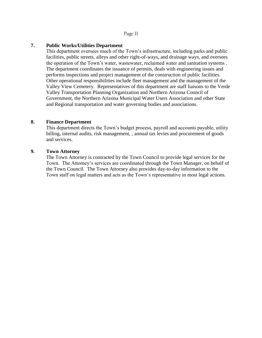## **7. Public Works/Utilities Department**

This department oversees much of the Town's infrastructure, including parks and public facilities, public streets, alleys and other right-of-ways, and drainage ways, and oversees the operation of the Town's water, wastewater, reclaimed water and sanitation systems . The department coordinates the issuance of permits, deals with engineering issues and performs inspections and project management of the construction of public facilities. Other operational responsibilities include fleet management and the management of the Valley View Cemetery. Representatives of this department are staff liaisons to the Verde Valley Transportation Planning Organization and Northern Arizona Council of Government, the Northern Arizona Municipal Water Users Association and other State and Regional transportation and water governing bodies and associations.

#### **8. Finance Department**

This department directs the Town's budget process, payroll and accounts payable, utility billing, internal audits, risk management, , annual tax levies and procurement of goods and services.

#### **9. Town Attorney**

The Town Attorney is contracted by the Town Council to provide legal services for the Town. The Attorney's services are coordinated through the Town Manager, on behalf of the Town Council. The Town Attorney also provides day-to-day information to the Town staff on legal matters and acts as the Town's representative in most legal actions.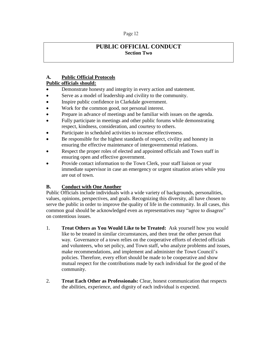# **PUBLIC OFFICIAL CONDUCT Section Two**

## **A. Public Official Protocols**

## **Public officials should:**

- Demonstrate honesty and integrity in every action and statement.
- Serve as a model of leadership and civility to the community.
- Inspire public confidence in Clarkdale government.
- Work for the common good, not personal interest.
- Prepare in advance of meetings and be familiar with issues on the agenda.
- Fully participate in meetings and other public forums while demonstrating respect, kindness, consideration, and courtesy to others.
- Participate in scheduled activities to increase effectiveness.
- Be responsible for the highest standards of respect, civility and honesty in ensuring the effective maintenance of intergovernmental relations.
- Respect the proper roles of elected and appointed officials and Town staff in ensuring open and effective government.
- Provide contact information to the Town Clerk, your staff liaison or your immediate supervisor in case an emergency or urgent situation arises while you are out of town.

## **B. Conduct with One Another**

Public Officials include individuals with a wide variety of backgrounds, personalities, values, opinions, perspectives, and goals. Recognizing this diversity, all have chosen to serve the public in order to improve the quality of life in the community. In all cases, this common goal should be acknowledged even as representatives may "agree to disagree" on contentious issues.

- 1. **Treat Others as You Would Like to be Treated:** Ask yourself how you would like to be treated in similar circumstances, and then treat the other person that way. Governance of a town relies on the cooperative efforts of elected officials and volunteers, who set policy, and Town staff, who analyze problems and issues, make recommendations, and implement and administer the Town Council's policies. Therefore, every effort should be made to be cooperative and show mutual respect for the contributions made by each individual for the good of the community.
- 2. **Treat Each Other as Professionals:** Clear, honest communication that respects the abilities, experience, and dignity of each individual is expected.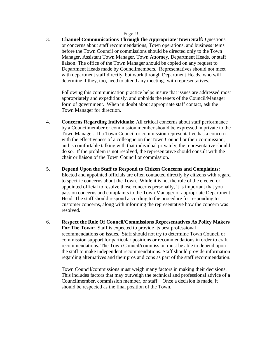3. **Channel Communications Through the Appropriate Town Staff:** Questions or concerns about staff recommendations, Town operations, and business items before the Town Council or commissions should be directed only to the Town Manager, Assistant Town Manager, Town Attorney, Department Heads, or staff liaison. The office of the Town Manager should be copied on any request to Department Heads made by Councilmembers. Representatives should not meet with department staff directly, but work through Department Heads, who will determine if they, too, need to attend any meetings with representatives.

Following this communication practice helps insure that issues are addressed most appropriately and expeditiously, and upholds the tenets of the Council/Manager form of government. When in doubt about appropriate staff contact, ask the Town Manager for direction.

- 4. **Concerns Regarding Individuals:** All critical concerns about staff performance by a Councilmember or commission member should be expressed in private to the Town Manager. If a Town Council or commission representative has a concern with the effectiveness of a colleague on the Town Council or their commission, and is comfortable talking with that individual privately, the representative should do so. If the problem is not resolved, the representative should consult with the chair or liaison of the Town Council or commission.
- 5. **Depend Upon the Staff to Respond to Citizen Concerns and Complaints:**  Elected and appointed officials are often contacted directly by citizens with regard to specific concerns about the Town. While it is not the role of the elected or appointed official to resolve those concerns personally, it is important that you pass on concerns and complaints to the Town Manager or appropriate Department Head. The staff should respond according to the procedure for responding to customer concerns, along with informing the representative how the concern was resolved.
- 6. **Respect the Role Of Council/Commissions Representatives As Policy Makers For The Town:** Staff is expected to provide its best professional recommendations on issues. Staff should not try to determine Town Council or commission support for particular positions or recommendations in order to craft recommendations. The Town Council/commission must be able to depend upon the staff to make independent recommendations. Staff should provide information regarding alternatives and their pros and cons as part of the staff recommendation.

Town Council/commissions must weigh many factors in making their decisions. This includes factors that may outweigh the technical and professional advice of a Councilmember, commission member, or staff. Once a decision is made, it should be respected as the final position of the Town.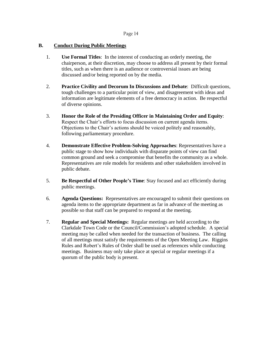## **B. Conduct During Public Meetings**

- 1. **Use Formal Titles**: In the interest of conducting an orderly meeting, the chairperson, at their discretion, may choose to address all present by their formal titles, such as when there is an audience or controversial issues are being discussed and/or being reported on by the media.
- 2. **Practice Civility and Decorum In Discussions and Debate**: Difficult questions, tough challenges to a particular point of view, and disagreement with ideas and information are legitimate elements of a free democracy in action. Be respectful of diverse opinions.
- 3. **Honor the Role of the Presiding Officer in Maintaining Order and Equity**: Respect the Chair's efforts to focus discussion on current agenda items. Objections to the Chair's actions should be voiced politely and reasonably, following parliamentary procedure.
- 4. **Demonstrate Effective Problem-Solving Approaches**: Representatives have a public stage to show how individuals with disparate points of view can find common ground and seek a compromise that benefits the community as a whole. Representatives are role models for residents and other stakeholders involved in public debate.
- 5. **Be Respectful of Other People's Time**: Stay focused and act efficiently during public meetings.
- 6. **Agenda Questions:** Representatives are encouraged to submit their questions on agenda items to the appropriate department as far in advance of the meeting as possible so that staff can be prepared to respond at the meeting.
- 7. **Regular and Special Meetings:** Regular meetings are held according to the Clarkdale Town Code or the Council/Commission's adopted schedule. A special meeting may be called when needed for the transaction of business. The calling of all meetings must satisfy the requirements of the Open Meeting Law. Riggins Rules and Robert's Rules of Order shall be used as references while conducting meetings. Business may only take place at special or regular meetings if a quorum of the public body is present.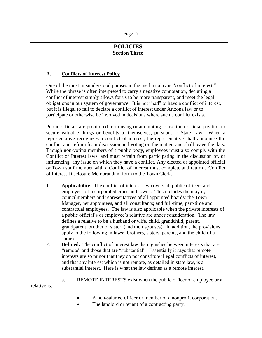# **POLICIES Section Three**

## **A. Conflicts of Interest Policy**

One of the most misunderstood phrases in the media today is "conflict of interest." While the phrase is often interpreted to carry a negative connotation, declaring a conflict of interest simply allows for us to be more transparent, and meet the legal obligations in our system of governance. It is not "bad" to have a conflict of interest, but it is illegal to fail to declare a conflict of interest under Arizona law or to participate or otherwise be involved in decisions where such a conflict exists.

Public officials are prohibited from using or attempting to use their official position to secure valuable things or benefits to themselves, pursuant to State Law. When a representative recognizes a conflict of interest, the representative shall announce the conflict and refrain from discussion and voting on the matter, and shall leave the dais. Though non-voting members of a public body, employees must also comply with the Conflict of Interest laws, and must refrain from participating in the discussion of, or influencing, any issue on which they have a conflict. Any elected or appointed official or Town staff member with a Conflict of Interest must complete and return a Conflict of Interest Disclosure Memorandum form to the Town Clerk.

- 1. **Applicability.** The conflict of interest law covers all public officers and employees of incorporated cities and towns. This includes the mayor, councilmembers and representatives of all appointed boards; the Town Manager, her appointees, and all consultants; and full-time, part-time and contractual employees. The law is also applicable when the private interests of a public official's or employee's relative are under consideration. The law defines a relative to be a husband or wife, child, grandchild, parent, grandparent, brother or sister, (and their spouses). In addition, the provisions apply to the following in laws: brothers, sisters, parents, and the child of a spouse.
- 2. **Defined.** The conflict of interest law distinguishes between interests that are "remote" and those that are "substantial". Essentially it says that remote interests are so minor that they do not constitute illegal conflicts of interest, and that any interest which is not remote, as detailed in state law, is a substantial interest. Here is what the law defines as a remote interest.
- a. REMOTE INTERESTS exist when the public officer or employee or a relative is:

A non-salaried officer or member of a nonprofit corporation.

The landlord or tenant of a contracting party.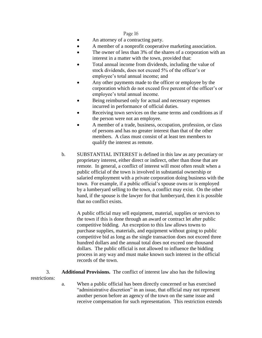- An attorney of a contracting party.
- A member of a nonprofit cooperative marketing association.
- The owner of less than 3% of the shares of a corporation with an interest in a matter with the town, provided that:
- Total annual income from dividends, including the value of stock dividends, does not exceed 5% of the officer's or employee's total annual income; and
- Any other payments made to the officer or employee by the corporation which do not exceed five percent of the officer's or employee's total annual income.
- Being reimbursed only for actual and necessary expenses incurred in performance of official duties.
- Receiving town services on the same terms and conditions as if the person were not an employee.
- A member of a trade, business, occupation, profession, or class of persons and has no greater interest than that of the other members. A class must consist of at least ten members to qualify the interest as remote.
- b. SUBSTANTIAL INTEREST is defined in this law as any pecuniary or proprietary interest, either direct or indirect, other than those that are remote. In general, a conflict of interest will most often result when a public official of the town is involved in substantial ownership or salaried employment with a private corporation doing business with the town. For example, if a public official's spouse owns or is employed by a lumberyard selling to the town, a conflict may exist. On the other hand, if the spouse is the lawyer for that lumberyard, then it is possible that no conflict exists.

A public official may sell equipment, material, supplies or services to the town if this is done through an award or contract let after public competitive bidding. An exception to this law allows towns to purchase supplies, materials, and equipment without going to public competitive bid as long as the single transaction does not exceed three hundred dollars and the annual total does not exceed one thousand dollars. The public official is not allowed to influence the bidding process in any way and must make known such interest in the official records of the town.

3. **Additional Provisions.** The conflict of interest law also has the following restrictions:

> a. When a public official has been directly concerned or has exercised "administrative discretion" in an issue, that official may not represent another person before an agency of the town on the same issue and receive compensation for such representation. This restriction extends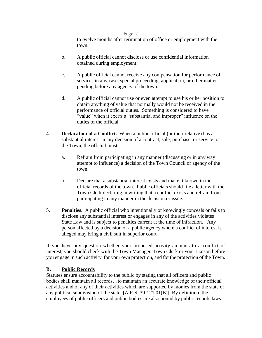to twelve months after termination of office or employment with the town.

- b. A public official cannot disclose or use confidential information obtained during employment.
- c. A public official cannot receive any compensation for performance of services in any case, special proceeding, application, or other matter pending before any agency of the town.
- d. A public official cannot use or even attempt to use his or her position to obtain anything of value that normally would not be received in the performance of official duties. Something is considered to have "value" when it exerts a "substantial and improper" influence on the duties of the official.
- 4. **Declaration of a Conflict.** When a public official (or their relative) has a substantial interest in any decision of a contract, sale, purchase, or service to the Town, the official must:
	- a. Refrain from participating in any manner (discussing or in any way attempt to influence) a decision of the Town Council or agency of the town.
	- b. Declare that a substantial interest exists and make it known in the official records of the town. Public officials should file a letter with the Town Clerk declaring in writing that a conflict exists and refrain from participating in any manner in the decision or issue.
- 5. **Penalties.** A public official who intentionally or knowingly conceals or fails to disclose any substantial interest or engages in any of the activities violates State Law and is subject to penalties current at the time of infraction. Any person affected by a decision of a public agency where a conflict of interest is alleged may bring a civil suit in superior court.

If you have any question whether your proposed activity amounts to a conflict of interest, you should check with the Town Manager, Town Clerk or your Liaison before you engage in such activity, for your own protection, and for the protection of the Town.

## **B. Public Records**

Statutes ensure accountability to the public by stating that all officers and public bodies shall maintain all records…to maintain an accurate knowledge of their official activities and of any of their activities which are supported by monies from the state or any political subdivision of the state. [A.R.S. 39-121.01(B)] By definition, the employees of public officers and public bodies are also bound by public records laws.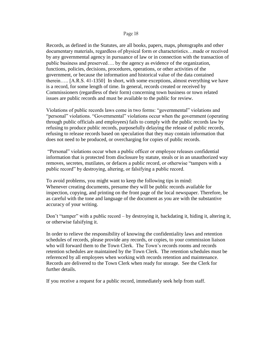Records, as defined in the Statutes, are all books, papers, maps, photographs and other documentary materials, regardless of physical form or characteristics…made or received by any governmental agency in pursuance of law or in connection with the transaction of public business and preserved…. by the agency as evidence of the organization, functions, policies, decisions, procedures, operations, or other activities of the government, or because the information and historical value of the data contained therein….. [A.R.S. 41-1350] In short, with some exceptions, almost everything we have is a record, for some length of time. In general, records created or received by Commissioners (regardless of their form) concerning town business or town related issues are public records and must be available to the public for review.

Violations of public records laws come in two forms: "governmental" violations and "personal" violations. "Governmental" violations occur when the government (operating through public officials and employees) fails to comply with the public records law by refusing to produce public records, purposefully delaying the release of public records, refusing to release records based on speculation that they may contain information that does not need to be produced, or overcharging for copies of public records.

"Personal" violations occur when a public officer or employee releases confidential information that is protected from disclosure by statute, steals or in an unauthorized way removes, secretes, mutilates, or defaces a public record, or otherwise "tampers with a public record" by destroying, altering, or falsifying a public record.

To avoid problems, you might want to keep the following tips in mind: Whenever creating documents, presume they will be public records available for inspection, copying, and printing on the front page of the local newspaper. Therefore, be as careful with the tone and language of the document as you are with the substantive accuracy of your writing.

Don't "tamper" with a public record – by destroying it, backdating it, hiding it, altering it, or otherwise falsifying it.

In order to relieve the responsibility of knowing the confidentiality laws and retention schedules of records, please provide any records, or copies, to your commission liaison who will forward them to the Town Clerk. The Town's records rooms and records retention schedules are maintained by the Town Clerk. The retention schedules must be referenced by all employees when working with records retention and maintenance. Records are delivered to the Town Clerk when ready for storage. See the Clerk for further details.

If you receive a request for a public record, immediately seek help from staff.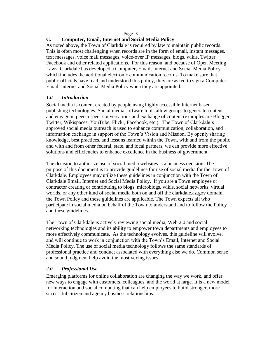## **C. Computer, Email, Internet and Social Media Policy**

As noted above, the Town of Clarkdale is required by law to maintain public records. This is often most challenging when records are in the form of email, instant messages, text messages, voice mail messages, voice-over IP messages, blogs, wikis, Twitter, Facebook and other related applications. For this reason, and because of Open Meeting Laws, Clarkdale has developed a Computer, Email, Internet and Social Media Policy which includes the additional electronic communication records. To make sure that public officials have read and understood this policy, they are asked to sign a Computer, Email, Internet and Social Media Policy when they are appointed.

## *1.0 Introduction*

Social media is content created by people using highly accessible Internet based publishing technologies. Social media software tools allow groups to generate content and engage in peer-to-peer conversations and exchange of content (examples are Blogger, Twitter, Wikispaces, YouTube, Flickr, Facebook, etc.). The Town of Clarkdale's approved social media outreach is used to enhance communication, collaboration, and information exchange in support of the Town's Vision and Mission. By openly sharing knowledge, best practices, and lessons learned within the Town, with and from the public and with and from other federal, state, and local partners, we can provide more effective solutions and efficiencies to enhance excellence in the business of government.

The decision to authorize use of social media websites is a business decision. The purpose of this document is to provide guidelines for use of social media for the Town of Clarkdale. Employees may utilize these guidelines in conjunction with the Town of Clarkdale Email, Internet and Social Media Policy. If you are a Town employee or contractor creating or contributing to blogs, microblogs, wikis, social networks, virtual worlds, or any other kind of social media both on and off the clarkdale.az.gov domain, the Town Policy and these guidelines are applicable. The Town expects all who participate in social media on behalf of the Town to understand and to follow the Policy and these guidelines.

The Town of Clarkdale is actively reviewing social media, Web 2.0 and social networking technologies and its ability to empower town departments and employees to more effectively communicate. As the technology evolves, this guideline will evolve, and will continue to work in conjunction with the Town's Email, Internet and Social Media Policy. The use of social media technology follows the same standards of professional practice and conduct associated with everything else we do. Common sense and sound judgment help avoid the most vexing issues.

## *2.0 Professional Use*

Emerging platforms for online collaboration are changing the way we work, and offer new ways to engage with customers, colleagues, and the world at large. It is a new model for interaction and social computing that can help employees to build stronger, more successful citizen and agency business relationships.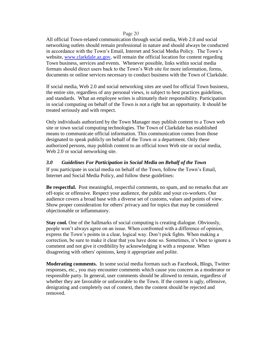All official Town-related communication through social media, Web 2.0 and social networking outlets should remain professional in nature and should always be conducted in accordance with the Town's Email, Internet and Social Media Policy. The Town's website, [www.clarkdale.az.gov,](http://www.clarkdale.az.gov/) will remain the official location for content regarding Town business, services and events. Whenever possible, links within social media formats should direct users back to the Town's Web site for more information, forms, documents or online services necessary to conduct business with the Town of Clarkdale.

If social media, Web 2.0 and social networking sites are used for official Town business, the entire site, regardless of any personal views, is subject to best practices guidelines, and standards. What an employee writes is ultimately their responsibility. Participation in social computing on behalf of the Town is not a right but an opportunity. It should be treated seriously and with respect.

Only individuals authorized by the Town Manager may publish content to a Town web site or town social computing technologies. The Town of Clarkdale has established means to communicate official information. This communication comes from those designated to speak publicly on behalf of the Town or a department. Only these authorized persons, may publish content to an official town Web site or social media, Web 2.0 or social networking site.

#### *3.0 Guidelines For Participation in Social Media on Behalf of the Town*

If you participate in social media on behalf of the Town, follow the Town's Email, Internet and Social Media Policy, and follow these guidelines:

**Be respectful.** Post meaningful, respectful comments, no spam, and no remarks that are off-topic or offensive. Respect your audience, the public and your co-workers. Our audience covers a broad base with a diverse set of customs, values and points of view. Show proper consideration for others' privacy and for topics that may be considered objectionable or inflammatory.

**Stay cool.** One of the hallmarks of social computing is creating dialogue. Obviously, people won't always agree on an issue. When confronted with a difference of opinion, express the Town's points in a clear, logical way. Don't pick fights. When making a correction, be sure to make it clear that you have done so. Sometimes, it's best to ignore a comment and not give it credibility by acknowledging it with a response. When disagreeing with others' opinions, keep it appropriate and polite.

**Moderating comments.** In some social media formats such as Facebook, Blogs, Twitter responses, etc., you may encounter comments which cause you concern as a moderator or responsible party. In general, user comments should be allowed to remain, regardless of whether they are favorable or unfavorable to the Town. If the content is ugly, offensive, denigrating and completely out of context, then the content should be rejected and removed.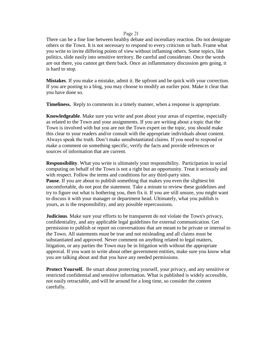There can be a fine line between healthy debate and incendiary reaction. Do not denigrate others or the Town. It is not necessary to respond to every criticism or barb. Frame what you write to invite differing points of view without inflaming others. Some topics, like politics, slide easily into sensitive territory. Be careful and considerate. Once the words are out there, you cannot get them back. Once an inflammatory discussion gets going, it is hard to stop.

**Mistakes**. If you make a mistake, admit it. Be upfront and be quick with your correction. If you are posting to a blog, you may choose to modify an earlier post. Make it clear that you have done so.

**Timeliness.** Reply to comments in a timely manner, when a response is appropriate.

**Knowledgeable**. Make sure you write and post about your areas of expertise, especially as related to the Town and your assignments. If you are writing about a topic that the Town is involved with but you are not the Town expert on the topic, you should make this clear to your readers and/or consult with the appropriate individuals about content. Always speak the truth. Don't make unsubstantiated claims. If you need to respond or make a comment on something specific, verify the facts and provide references or sources of information that are current.

**Responsibility**. What you write is ultimately your responsibility. Participation in social computing on behalf of the Town is not a right but an opportunity. Treat it seriously and with respect. Follow the terms and conditions for any third-party sites. **Pause**. If you are about to publish something that makes you even the slightest bit uncomfortable, do not post the statement. Take a minute to review these guidelines and try to figure out what is bothering you, then fix it. If you are still unsure, you might want to discuss it with your manager or department head. Ultimately, what you publish is yours, as is the responsibility, and any possible repercussions.

**Judicious**. Make sure your efforts to be transparent do not violate the Town's privacy, confidentiality, and any applicable legal guidelines for external communication. Get permission to publish or report on conversations that are meant to be private or internal to the Town. All statements must be true and not misleading and all claims must be substantiated and approved. Never comment on anything related to legal matters, litigation, or any parties the Town may be in litigation with without the appropriate approval. If you want to write about other government entities, make sure you know what you are talking about and that you have any needed permissions.

**Protect Yourself.** Be smart about protecting yourself, your privacy, and any sensitive or restricted confidential and sensitive information. What is published is widely accessible, not easily retractable, and will be around for a long time, so consider the content carefully.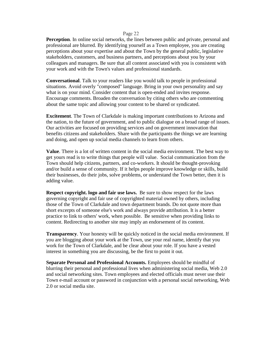**Perception**. In online social networks, the lines between public and private, personal and professional are blurred. By identifying yourself as a Town employee, you are creating perceptions about your expertise and about the Town by the general public, legislative stakeholders, customers, and business partners, and perceptions about you by your colleagues and managers. Be sure that all content associated with you is consistent with your work and with the Town's values and professional standards.

**Conversational**. Talk to your readers like you would talk to people in professional situations. Avoid overly "composed" language. Bring in your own personality and say what is on your mind. Consider content that is open-ended and invites response. Encourage comments. Broaden the conversation by citing others who are commenting about the same topic and allowing your content to be shared or syndicated.

**Excitement**. The Town of Clarkdale is making important contributions to Arizona and the nation, to the future of government, and to public dialogue on a broad range of issues. Our activities are focused on providing services and on government innovation that benefits citizens and stakeholders. Share with the participants the things we are learning and doing, and open up social media channels to learn from others.

**Value**. There is a lot of written content in the social media environment. The best way to get yours read is to write things that people will value. Social communication from the Town should help citizens, partners, and co-workers. It should be thought-provoking and/or build a sense of community. If it helps people improve knowledge or skills, build their businesses, do their jobs, solve problems, or understand the Town better, then it is adding value.

**Respect copyright. logo and fair use laws.** Be sure to show respect for the laws governing copyright and fair use of copyrighted material owned by others, including those of the Town of Clarkdale and town department brands. Do not quote more than short excerpts of someone else's work and always provide attribution. It is a better practice to link to others' work, when possible. Be sensitive when providing links to content. Redirecting to another site may imply an endorsement of its content.

**Transparency.** Your honesty will be quickly noticed in the social media environment. If you are blogging about your work at the Town, use your real name, identify that you work for the Town of Clarkdale, and be clear about your role. If you have a vested interest in something you are discussing, be the first to point it out.

**Separate Personal and Professional Accounts.** Employees should be mindful of blurring their personal and professional lives when administering social media, Web 2.0 and social networking sites. Town employees and elected officials must never use their Town e-mail account or password in conjunction with a personal social networking, Web 2.0 or social media site.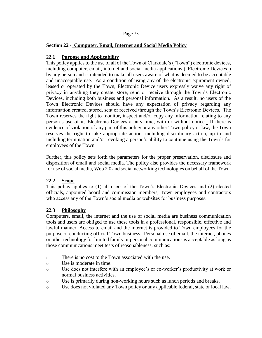## **Section 22 - Computer, Email, Internet and Social Media Policy**

## **22.1 Purpose and Applicability**

This policy applies to the use of all of the Town of Clarkdale's("Town") electronic devices, including computer, email, internet and social media applications ("Electronic Devices") by any person and is intended to make all users aware of what is deemed to be acceptable and unacceptable use. As a condition of using any of the electronic equipment owned, leased or operated by the Town, Electronic Device users expressly waive any right of privacy in anything they create, store, send or receive through the Town's Electronic Devices, including both business and personal information. As a result, no users of the Town Electronic Devices should have any expectation of privacy regarding any information created, stored, sent or received through the Town's Electronic Devices. The Town reserves the right to monitor, inspect and/or copy any information relating to any person's use of its Electronic Devices at any time, with or without notice. If there is evidence of violation of any part of this policy or any other Town policy or law, the Town reserves the right to take appropriate action, including disciplinary action, up to and including termination and/or revoking a person's ability to continue using the Town's for employees of the Town.

Further, this policy sets forth the parameters for the proper preservation, disclosure and disposition of email and social media. The policy also provides the necessary framework for use of social media, Web 2.0 and social networking technologies on behalf of the Town.

#### **22.2 Scope**

This policy applies to (1) all users of the Town's Electronic Devices and (2) elected officials, appointed board and commission members, Town employees and contractors who access any of the Town's social media or websites for business purposes.

#### **22.3 Philosophy**

Computers, email, the internet and the use of social media are business communication tools and users are obliged to use these tools in a professional, responsible, effective and lawful manner. Access to email and the internet is provided to Town employees for the purpose of conducting official Town business. Personal use of email, the internet, phones or other technology for limited family or personal communications is acceptable as long as those communications meet tests of reasonableness, such as:

- o There is no cost to the Town associated with the use.
- o Use is moderate in time.
- o Use does not interfere with an employee's or co-worker's productivity at work or normal business activities.
- o Use is primarily during non-working hours such as lunch periods and breaks.
- o Use does not violated any Town policy or any applicable federal, state or local law.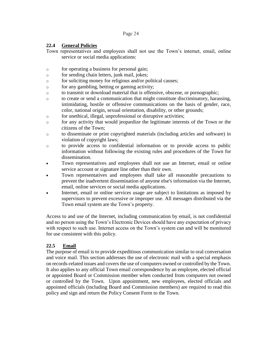## **22.4 General Policies**

- Town representatives and employees shall not use the Town's internet, email, online service or social media applications:
- o for operating a business for personal gain;
- o for sending chain letters, junk mail, jokes;
- o for soliciting money for religious and/or political causes;
- o for any gambling, betting or gaming activity;
- o to transmit or download material that is offensive, obscene, or pornographic;
- o to create or send a communication that might constitute discriminatory, harassing, intimidating, hostile or offensive communications on the basis of gender, race, color, national origin, sexual orientation, disability, or other grounds;
- o for unethical, illegal, unprofessional or disruptive activities;
- o for any activity that would jeopardize the legitimate interests of the Town or the citizens of the Town;
- o to disseminate or print copyrighted materials (including articles and software) in violation of copyright laws;
- o to provide access to confidential information or to provide access to public information without following the existing rules and procedures of the Town for dissemination.
- Town representatives and employees shall not use an Internet, email or online service account or signature line other than their own.
- Town representatives and employees shall take all reasonable precautions to prevent the inadvertent dissemination of anyone else's information via the Internet, email, online services or social media applications.
- Internet, email or online services usage are subject to limitations as imposed by supervisors to prevent excessive or improper use. All messages distributed via the Town email system are the Town's property.

Access to and use of the Internet, including communication by email, is not confidential and no person using the Town's Electronic Devices should have any expectation of privacy with respect to such use. Internet access on the Town's system can and will be monitored for use consistent with this policy.

## **22.5 Email**

The purpose of email is to provide expeditious communication similar to oral conversation and voice mail. This section addresses the use of electronic mail with a special emphasis on records-related issues and covers the use of computers owned or controlled by the Town. It also applies to any official Town email correspondence by an employee, elected official or appointed Board or Commission member when conducted from computers not owned or controlled by the Town. Upon appointment, new employees, elected officials and appointed officials (including Board and Commission members) are required to read this policy and sign and return the Policy Consent Form to the Town.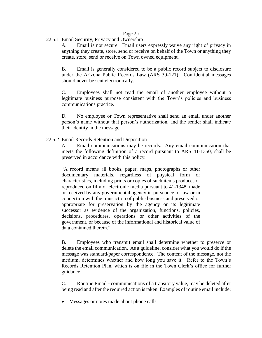## 22.5.1 Email Security, Privacy and Ownership

A. Email is not secure. Email users expressly waive any right of privacy in anything they create, store, send or receive on behalf of the Town or anything they create, store, send or receive on Town owned equipment.

B. Email is generally considered to be a public record subject to disclosure under the Arizona Public Records Law (ARS 39-121). Confidential messages should never be sent electronically.

C. Employees shall not read the email of another employee without a legitimate business purpose consistent with the Town's policies and business communications practice.

D. No employee or Town representative shall send an email under another person's name without that person's authorization, and the sender shall indicate their identity in the message.

#### 22.5.2 Email Records Retention and Disposition

A. Email communications may be records. Any email communication that meets the following definition of a record pursuant to ARS 41-1350, shall be preserved in accordance with this policy.

"A record means all books, paper, maps, photographs or other documentary materials, regardless of physical form or characteristics, including prints or copies of such items produces or reproduced on film or electronic media pursuant to 41-1348, made or received by any governmental agency in pursuance of law or in connection with the transaction of public business and preserved or appropriate for preservation by the agency or its legitimate successor as evidence of the organization, functions, policies, decisions, procedures, operations or other activities of the government, or because of the informational and historical value of data contained therein."

B. Employees who transmit email shall determine whether to preserve or delete the email communication. As a guideline, consider what you would do if the message was standard/paper correspondence. The content of the message, not the medium, determines whether and how long you save it. Refer to the Town's Records Retention Plan, which is on file in the Town Clerk's office for further guidance.

C. Routine Email - communications of a transitory value, may be deleted after being read and after the required action is taken. Examples of routine email include:

• Messages or notes made about phone calls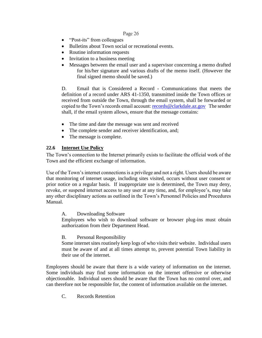- "Post-its" from colleagues
- Bulletins about Town social or recreational events.
- Routine information requests
- Invitation to a business meeting
- Messages between the email user and a supervisor concerning a memo drafted for his/her signature and various drafts of the memo itself. (However the final signed memo should be saved.)

D. Email that is Considered a Record - Communications that meets the definition of a record under ARS 41-1350, transmitted inside the Town offices or received from outside the Town, through the email system, shall be forwarded or copied to the Town's records email account: records@clarkdale.az.gov The sender shall, if the email system allows, ensure that the message contains:

- The time and date the message was sent and received
- The complete sender and receiver identification, and;
- The message is complete.

## **22.6 Internet Use Policy**

The Town's connection to the Internet primarily exists to facilitate the official work of the Town and the efficient exchange of information.

Use of the Town's internet connections is a privilege and not a right. Users should be aware that monitoring of internet usage, including sites visited, occurs without user consent or prior notice on a regular basis. If inappropriate use is determined, the Town may deny, revoke, or suspend internet access to any user at any time, and, for employee's, may take any other disciplinary actions as outlined in the Town's Personnel Policies and Procedures Manual.

A. Downloading Software

Employees who wish to download software or browser plug-ins must obtain authorization from their Department Head.

B. Personal Responsibility

Some internet sites routinely keep logs of who visits their website. Individual users must be aware of and at all times attempt to, prevent potential Town liability in their use of the internet.

Employees should be aware that there is a wide variety of information on the internet. Some individuals may find some information on the internet offensive or otherwise objectionable. Individual users should be aware that the Town has no control over, and can therefore not be responsible for, the content of information available on the internet.

C. Records Retention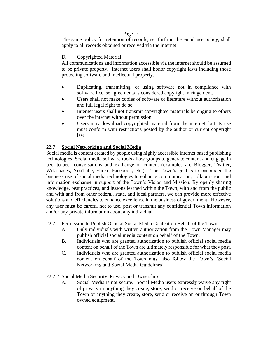The same policy for retention of records, set forth in the email use policy, shall apply to all records obtained or received via the internet.

## D. Copyrighted Material

All communications and information accessible via the internet should be assumed to be private property. Internet users shall honor copyright laws including those protecting software and intellectual property.

- Duplicating, transmitting, or using software not in compliance with software license agreements is considered copyright infringement.
- Users shall not make copies of software or literature without authorization and full legal right to do so.
- Internet users shall not transmit copyrighted materials belonging to others over the internet without permission.
- Users may download copyrighted material from the internet, but its use must conform with restrictions posted by the author or current copyright law.

## **22.7 Social Networking and Social Media**

Social media is content created by people using highly accessible Internet based publishing technologies. Social media software tools allow groups to generate content and engage in peer-to-peer conversations and exchange of content (examples are Blogger, Twitter, Wikispaces, YouTube, Flickr, Facebook, etc.). The Town's goal is to encourage the business use of social media technologies to enhance communication, collaboration, and information exchange in support of the Town's Vision and Mission. By openly sharing knowledge, best practices, and lessons learned within the Town, with and from the public and with and from other federal, state, and local partners, we can provide more effective solutions and efficiencies to enhance excellence in the business of government. However, any user must be careful not to use, post or transmit any confidential Town information and/or any private information about any individual.

22.7.1 Permission to Publish Official Social Media Content on Behalf of the Town

- A. Only individuals with written authorization from the Town Manager may publish official social media content on behalf of the Town.
- B. Individuals who are granted authorization to publish official social media content on behalf of the Town are ultimately responsible for what they post.
- C. Individuals who are granted authorization to publish official social media content on behalf of the Town must also follow the Town's "Social Networking and Social Media Guidelines".

22.7.2 Social Media Security, Privacy and Ownership

A. Social Media is not secure. Social Media users expressly waive any right of privacy in anything they create, store, send or receive on behalf of the Town or anything they create, store, send or receive on or through Town owned equipment.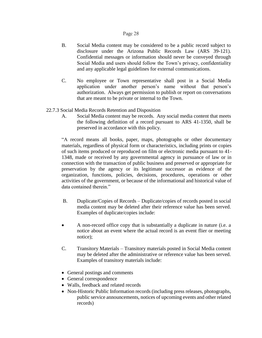- B. Social Media content may be considered to be a public record subject to disclosure under the Arizona Public Records Law (ARS 39-121). Confidential messages or information should never be conveyed through Social Media and users should follow the Town's privacy, confidentiality and any applicable legal guidelines for external communications.
- C. No employee or Town representative shall post in a Social Media application under another person's name without that person's authorization. Always get permission to publish or report on conversations that are meant to be private or internal to the Town.

## 22.7.3 Social Media Records Retention and Disposition

A. Social Media content may be records. Any social media content that meets the following definition of a record pursuant to ARS 41-1350, shall be preserved in accordance with this policy.

"A record means all books, paper, maps, photographs or other documentary materials, regardless of physical form or characteristics, including prints or copies of such items produced or reproduced on film or electronic media pursuant to 41- 1348, made or received by any governmental agency in pursuance of law or in connection with the transaction of public business and preserved or appropriate for preservation by the agency or its legitimate successor as evidence of the organization, functions, policies, decisions, procedures, operations or other activities of the government, or because of the informational and historical value of data contained therein."

- B. Duplicate/Copies of Records Duplicate/copies of records posted in social media content may be deleted after their reference value has been served. Examples of duplicate/copies include:
- A non-record office copy that is substantially a duplicate in nature (i.e. a notice about an event where the actual record is an event flier or meeting notice);
- C. Transitory Materials Transitory materials posted in Social Media content may be deleted after the administrative or reference value has been served. Examples of transitory materials include:
- General postings and comments
- General correspondence
- Walls, feedback and related records
- Non-Historic Public Information records (including press releases, photographs, public service announcements, notices of upcoming events and other related records)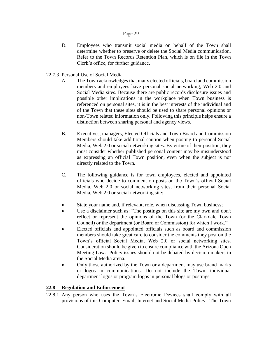- D. Employees who transmit social media on behalf of the Town shall determine whether to preserve or delete the Social Media communication. Refer to the Town Records Retention Plan, which is on file in the Town Clerk's office, for further guidance.
- 22.7.3 Personal Use of Social Media
	- A. The Town acknowledges that many elected officials, board and commission members and employees have personal social networking, Web 2.0 and Social Media sites. Because there are public records disclosure issues and possible other implications in the workplace when Town business is referenced on personal sites, it is in the best interests of the individual and of the Town that these sites should be used to share personal opinions or non-Town related information only. Following this principle helps ensure a distinction between sharing personal and agency views.
	- B. Executives, managers, Elected Officials and Town Board and Commission Members should take additional caution when posting to personal Social Media, Web 2.0 or social networking sites. By virtue of their position, they must consider whether published personal content may be misunderstood as expressing an official Town position, even when the subject is not directly related to the Town.
	- C. The following guidance is for town employees, elected and appointed officials who decide to comment on posts on the Town's official Social Media, Web 2.0 or social networking sites, from their personal Social Media, Web 2.0 or social networking site:
	- State your name and, if relevant, role, when discussing Town business;
	- Use a disclaimer such as: "The postings on this site are my own and don't reflect or represent the opinions of the Town (or the Clarkdale Town Council) or the department (or Board or Commission) for which I work."
	- Elected officials and appointed officials such as board and commission members should take great care to consider the comments they post on the Town's official Social Media, Web 2.0 or social networking sites. Consideration should be given to ensure compliance with the Arizona Open Meeting Law. Policy issues should not be debated by decision makers in the Social Media arena.
	- Only those authorized by the Town or a department may use brand marks or logos in communications. Do not include the Town, individual department logos or program logos in personal blogs or postings.

## **22.8 Regulation and Enforcement**

22.8.1 Any person who uses the Town's Electronic Devices shall comply with all provisions of this Computer, Email, Internet and Social Media Policy. The Town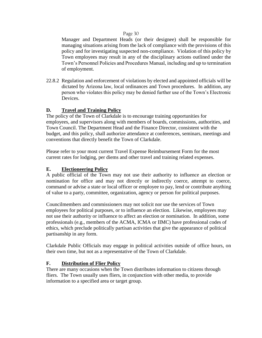Manager and Department Heads (or their designee) shall be responsible for managing situations arising from the lack of compliance with the provisions of this policy and for investigating suspected non-compliance. Violation of this policy by Town employees may result in any of the disciplinary actions outlined under the Town's Personnel Policies and Procedures Manual, including and up to termination of employment.

22.8.2 Regulation and enforcement of violations by elected and appointed officials will be dictated by Arizona law, local ordinances and Town procedures. In addition, any person who violates this policy may be denied further use of the Town's Electronic Devices.

## **D. Travel and Training Policy**

The policy of the Town of Clarkdale is to encourage training opportunities for employees, and supervisors along with members of boards, commissions, authorities, and Town Council. The Department Head and the Finance Director, consistent with the budget, and this policy, shall authorize attendance at conferences, seminars, meetings and conventions that directly benefit the Town of Clarkdale.

Please refer to your most current Travel Expense Reimbursement Form for the most current rates for lodging, per diems and other travel and training related expenses.

#### **E. Electioneering Policy**

A public official of the Town may not use their authority to influence an election or nomination for office and may not directly or indirectly coerce, attempt to coerce, command or advise a state or local officer or employee to pay, lend or contribute anything of value to a party, committee, organization, agency or person for political purposes.

Councilmembers and commissioners may not solicit nor use the services of Town employees for political purposes, or to influence an election. Likewise, employees may not use their authority or influence to affect an election or nomination. In addition, some professionals (e.g., members of the ACMA, ICMA or IIMC) have professional codes of ethics, which preclude politically partisan activities that give the appearance of political partisanship in any form.

Clarkdale Public Officials may engage in political activities outside of office hours, on their own time, but not as a representative of the Town of Clarkdale.

#### **F. Distribution of Flier Policy**

There are many occasions when the Town distributes information to citizens through fliers. The Town usually uses fliers, in conjunction with other media, to provide information to a specified area or target group.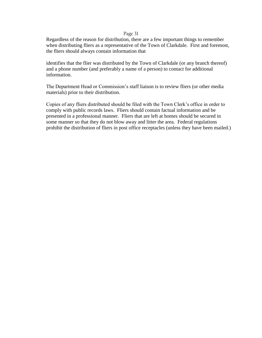Regardless of the reason for distribution, there are a few important things to remember when distributing fliers as a representative of the Town of Clarkdale. First and foremost, the fliers should always contain information that

identifies that the flier was distributed by the Town of Clarkdale (or any branch thereof) and a phone number (and preferably a name of a person) to contact for additional information.

The Department Head or Commission's staff liaison is to review fliers (or other media materials) prior to their distribution.

Copies of any fliers distributed should be filed with the Town Clerk's office in order to comply with public records laws. Fliers should contain factual information and be presented in a professional manner. Fliers that are left at homes should be secured in some manner so that they do not blow away and litter the area. Federal regulations prohibit the distribution of fliers in post office receptacles (unless they have been mailed.)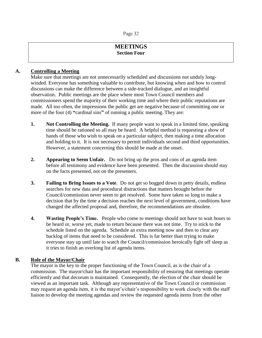## **MEETINGS Section Four**

## **A. Controlling a Meeting**

Make sure that meetings are not unnecessarily scheduled and discussions not unduly longwinded. Everyone has something valuable to contribute, but knowing when and how to control discussions can make the difference between a side-tracked dialogue, and an insightful observation. Public meetings are the place where most Town Council members and commissioners spend the majority of their working time and where their public reputations are made. All too often, the impressions the public get are negative because of committing one or more of the four (4) **"**cardinal sins**"** of running a public meeting. They are:

- **1. Not Controlling the Meeting.** If many people want to speak in a limited time, speaking time should be rationed so all may be heard. A helpful method is requesting a show of hands of those who wish to speak on a particular subject, then making a time allocation and holding to it. It is not necessary to permit individuals second and third opportunities. However, a statement concerning this should be made at the onset.
- **2. Appearing to Seem Unfair.** Do not bring up the pros and cons of an agenda item before all testimony and evidence have been presented. Then the discussion should stay on the facts presented, not on the presenters.
- **3. Failing to Bring Issues to a Vote**. Do not get so bogged down in petty details, endless searches for new data and procedural distractions that matters brought before the Council/commission never seem to get resolved. Some have taken so long to make a decision that by the time a decision reaches the next level of government, conditions have changed the affected proposal and, therefore, the recommendations are obsolete.
- **4. Wasting People's Time.** People who come to meetings should not have to wait hours to be heard or, worse yet, made to return because there was not time. Try to stick to the schedule listed on the agenda. Schedule an extra meeting now and then to clear any backlog of items that need to be considered. This is far better than trying to make everyone stay up until late to watch the Council/commission heroically fight off sleep as it tries to finish an overlong list of agenda items.

#### **B. Role of the Mayor/Chair**

The mayor is the key to the proper functioning of the Town Council, as is the chair of a commission. The mayor/chair has the important responsibility of ensuring that meetings operate efficiently and that decorum is maintained. Consequently, the election of the chair should be viewed as an important task. Although any representative of the Town Council or commission may request an agenda item, it is the mayor's/chair's responsibility to work closely with the staff liaison to develop the meeting agendas and review the requested agenda items from the other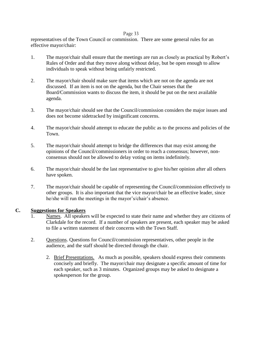representatives of the Town Council or commission. There are some general rules for an effective mayor/chair:

- 1. The mayor/chair shall ensure that the meetings are run as closely as practical by Robert's Rules of Order and that they move along without delay, but be open enough to allow individuals to speak without being unfairly restricted.
- 2. The mayor/chair should make sure that items which are not on the agenda are not discussed. If an item is not on the agenda, but the Chair senses that the Board/Commission wants to discuss the item, it should be put on the next available agenda.
- 3. The mayor/chair should see that the Council/commission considers the major issues and does not become sidetracked by insignificant concerns.
- 4. The mayor/chair should attempt to educate the public as to the process and policies of the Town.
- 5. The mayor/chair should attempt to bridge the differences that may exist among the opinions of the Council/commissioners in order to reach a consensus; however, nonconsensus should not be allowed to delay voting on items indefinitely.
- 6. The mayor/chair should be the last representative to give his/her opinion after all others have spoken.
- 7. The mayor/chair should be capable of representing the Council/commission effectively to other groups. It is also important that the vice mayor/chair be an effective leader, since he/she will run the meetings in the mayor's/chair's absence.

## **C. Suggestions for Speakers**

- 1. Names.All speakers will be expected to state their name and whether they are citizens of Clarkdale for the record. If a number of speakers are present, each speaker may be asked to file a written statement of their concerns with the Town Staff.
- 2. Questions. Questions for Council/commission representatives, other people in the audience, and the staff should be directed through the chair.
	- 2. Brief Presentations.As much as possible, speakers should express their comments concisely and briefly. The mayor/chair may designate a specific amount of time for each speaker, such as 3 minutes. Organized groups may be asked to designate a spokesperson for the group.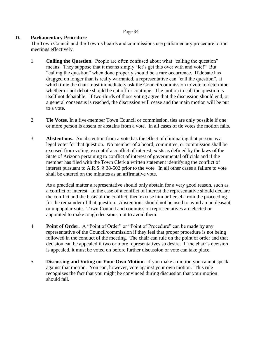## **D. Parliamentary Procedure**

The Town Council and the Town's boards and commissions use parliamentary procedure to run meetings effectively.

- 1. **Calling the Question.** People are often confused about what "calling the question" means. They suppose that it means simply "let's get this over with and vote!" But "calling the question" when done properly should be a rare occurrence. If debate has dragged on longer than is really warranted, a representative can "call the question", at which time the chair must immediately ask the Council/commission to vote to determine whether or not debate should be cut off or continue. The motion to call the question is itself not debatable. If two-thirds of those voting agree that the discussion should end, or a general consensus is reached, the discussion will cease and the main motion will be put to a vote.
- 2. **Tie Votes**. In a five-member Town Council or commission, ties are only possible if one or more person is absent or abstains from a vote. In all cases of tie votes the motion fails.
- 3. **Abstentions.** An abstention from a vote has the effect of eliminating that person as a legal voter for that question. No member of a board, committee, or commission shall be excused from voting, except if a conflict of interest exists as defined by the laws of the State of Arizona pertaining to conflict of interest of governmental officials and if the member has filed with the Town Clerk a written statement identifying the conflict of interest pursuant to A.R.S. § 38-502 prior to the vote. In all other cases a failure to vote shall be entered on the minutes as an affirmative vote.

As a practical matter a representative should only abstain for a very good reason, such as a conflict of interest. In the case of a conflict of interest the representative should declare the conflict and the basis of the conflict, then excuse him or herself from the proceeding for the remainder of that question. Abstentions should not be used to avoid an unpleasant or unpopular vote. Town Council and commission representatives are elected or appointed to make tough decisions, not to avoid them.

- 4. **Point of Order.** A "Point of Order" or "Point of Procedure" can be made by any representative of the Council/commission if they feel that proper procedure is not being followed in the conduct of the meeting. The chair can rule on the point of order and that decision can be appealed if two or more representatives so desire. If the chair's decision is appealed, it must be voted on before further discussion or vote can take place.
- 5. **Discussing and Voting on Your Own Motion.** If you make a motion you cannot speak against that motion. You can, however, vote against your own motion. This rule recognizes the fact that you might be convinced during discussion that your motion should fail.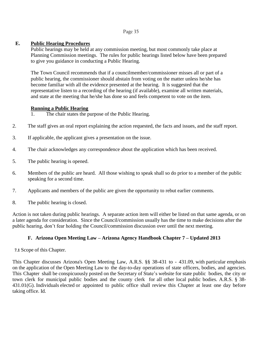## **E. Public Hearing Procedures**

Public hearings may be held at any commission meeting, but most commonly take place at Planning Commission meetings. The rules for public hearings listed below have been prepared to give you guidance in conducting a Public Hearing.

The Town Council recommends that if a councilmember/commissioner misses all or part of a public hearing, the commissioner should abstain from voting on the matter unless he/she has become familiar with all the evidence presented at the hearing. It is suggested that the representative listen to a recording of the hearing (if available), examine all written materials, and state at the meeting that he/she has done so and feels competent to vote on the item.

#### **Running a Public Hearing**

1. The chair states the purpose of the Public Hearing.

- 2. The staff gives an oral report explaining the action requested, the facts and issues, and the staff report.
- 3. If applicable, the applicant gives a presentation on the issue.
- 4. The chair acknowledges any correspondence about the application which has been received.
- 5. The public hearing is opened.
- 6. Members of the public are heard. All those wishing to speak shall so do prior to a member of the public speaking for a second time.
- 7. Applicants and members of the public are given the opportunity to rebut earlier comments.
- 8. The public hearing is closed.

Action is not taken during public hearings. A separate action item will either be listed on that same agenda, or on a later agenda for consideration. Since the Council/commission usually has the time to make decisions after the public hearing, don't fear holding the Council/commission discussion over until the next meeting.

## **F. Arizona Open Meeting Law – Arizona Agency Handbook Chapter 7 – Updated 2013**

#### **7.1** Scope of this Chapter.

This Chapter discusses Arizona's Open Meeting Law, A.R.S. §§ 38-431 to - 431.09, with particular emphasis on the application of the Open Meeting Law to the day-to-day operations of state officers, bodies, and agencies. This Chapter shall be conspicuously posted on the Secretary of State's website for state public bodies, the city or town clerk for municipal public bodies and the county clerk for all other local public bodies. A.R.S. § 38- 431.01(G). Individuals elected or appointed to public office shall review this Chapter at least one day before taking office. Id.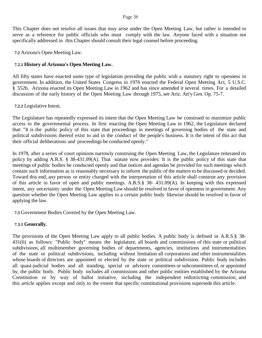This Chapter does not resolve all issues that may arise under the Open Meeting Law, but rather is intended to serve as a reference for public officials who must comply with the law. Anyone faced with a situation not specifically addressed in this Chapter should consult their legal counsel before proceeding.

**7.2** Arizona's Open Meeting Law.

## **7.2.1 History of Arizona's Open Meeting Law.**

All fifty states have enacted some type of legislation providing the public with a statutory right to openness in government. In addition, the United States Congress in 1976 enacted the Federal Open Meeting Act, 5 U.S.C. § 552b. Arizona enacted its Open Meeting Law in 1962 and has since amended it several times. For a detailed discussion of the early history of the Open Meeting Law through 1975, see Ariz. Att'y Gen. Op. 75-7.

**7.2.2** Legislative Intent.

The Legislature has repeatedly expressed its intent that the Open Meeting Law be construed to maximize public access to the governmental process. In first enacting the Open Meeting Law in 1962, the Legislature declared that: "It is the public policy of this state that proceedings in meetings of governing bodies of the state and political subdivisions thereof exist to aid in the conduct of the people's business. It is the intent of this act that their official deliberations and proceedings be conducted openly."

In 1978, after a series of court opinions narrowly construing the Open Meeting Law, the Legislature reiterated its policy by adding A.R.S. § 38-431.09(A). That statute now provides: It is the public policy of this state that meetings of public bodies be conducted openly and that notices and agendas be provided for such meetings which contain such information as is reasonably necessary to inform the public of the matters to be discussed or decided. Toward this end, any person or entity charged with the interpretation of this article shall construe any provision of this article in favor of open and public meetings. A.R.S.§ 38- 431.09(A). In keeping with this expressed intent, any uncertainty under the Open Meeting Law should be resolved in favor of openness in government. Any question whether the Open Meeting Law applies to a certain public body likewise should be resolved in favor of applying the law.

**7.3** Government Bodies Covered by the Open Meeting Law.

## **7.3.1 Generally.**

The provisions of the Open Meeting Law apply to all public bodies. A public body is defined in A.R.S.§ 38- 431(6) as follows: "Public body" means the legislature, all boards and commissions of this state or political subdivisions, all multimember governing bodies of departments, agencies, institutions and instrumentalities of the state or political subdivisions, including without limitation all corporations and other instrumentalities whose boards of directors are appointed or elected by the state or political subdivision. Public body includes all quasi-judicial bodies and all standing, special or advisory committees or subcommittees of, or appointed by, the public body. Public body includes all commissions and other public entities established by the Arizona Constitution or by way of ballot initiative, including the independent redistricting commission, and this article applies except and only to the extent that specific constitutional provisions supersede this article.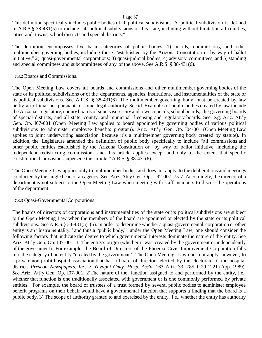This definition specifically includes public bodies of all political subdivisions. A political subdivision is defined in A.R.S.§ 38-431(5) to include "all political subdivisions of this state, including without limitation all counties, cities and towns, school districts and special districts."

The definition encompasses five basic categories of public bodies: 1) boards, commissions, and other multimember governing bodies, including those "established by the Arizona Constitution or by way of ballot initiative;" 2) quasi-governmental corporations; 3) quasi-judicial bodies; 4) advisory committees; and 5) standing and special committees and subcommittees of any of the above. See A.R.S. § 38-431(6).

## **7.3.2** Boards and Commissions.

The Open Meeting Law covers all boards and commissions and other multimember governing bodies of the state or its political subdivisions or of the departments, agencies, institutions, and instrumentalities of the state or its political subdivisions. See A.R.S. § 38-431(6). The multimember governing body must be created by law or by an official act pursuant to some legal authority. See id. Examples of public bodies created by law include the Arizona Legislature, county boards of supervisors, city and town councils,school boards, the governing boards of special districts, and all state, county, and municipal licensing and regulatory boards. See. e.g, Ariz. Att'y Gen. Op. I07-001 (Open Meeting Law applies to board appointed by governing bodies of various political subdivisions to administer employee benefits program). Ariz. Att'y Gen. Op. I04-001 (Open Meeting Law applies to joint underwriting association because it's a multimember governing body created by statute). In addition, the Legislature amended the definition of public body specifically to include "all commissions and other public entities established by the Arizona Constitution or by way of ballot initiative, including the independent redistricting commission, and this article applies except and only to the extent that specific constitutional provisions supersede this article." A.R.S. § 38-431(6).

The Open Meeting Law applies only to multimember bodies and does not apply to the deliberations and meetings conducted by the single head of an agency. See Ariz. Att'y Gen. Ops. I92-007, 75-7. Accordingly, the director of a department is not subject to the Open Meeting Law when meeting with staff members to discuss the operations of the department.

## **7.3.3** Quasi-GovernmentalCorporations.

The boards of directors of corporations and instrumentalities of the state or its political subdivisions are subject to the Open Meeting Law when the members of the board are appointed or elected by the state or its political subdivisions. See A.R.S.§ 38-431(5), (6). In order to determine whether a quasi-governmental corporation or other entity is an "instrumentality," and thus a "public body," under the Open Meeting Law, one should consider the following factors that indicate the degree to which governmental interests dominate the nature of the entity. See Ariz. Att'y Gen. Op. I07-001. 1. The entity's origin (whether it was created by the government or independently of the government). For example, the Board of Directors of the Phoenix Civic Improvement Corporation falls into the category of an entity "created by the government." The Open Meeting Law does not apply, however, to a private non-profit hospital association that has a board of directors elected by the electorate of the hospital district. *Prescott Newspapers, Inc. v. Yavapai Cmty. Hosp. Ass'n*, 163 Ariz. 33, 785 P.2d 1221 (App. 1989). *See* Ariz. Att'y Gen. Op. I07-001. 2)The nature of the function assigned to and performed by the entity, i.e., whether that function is one traditionally associated with government or is one commonly performed by private entities. For example, the board of trustees of a trust formed by several public bodies to administer employee benefit programs on their behalf would have a governmental function that supports a finding that the board is a public body. 3) The scope of authority granted to and exercised by the entity, i.e., whether the entity has authority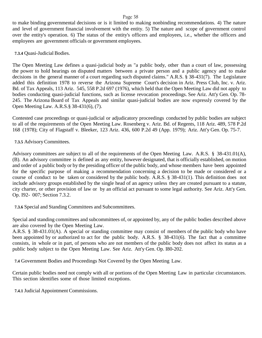to make binding governmental decisions or is it limited to making nonbinding recommendations. 4) The nature and level of government financial involvement with the entity. 5) The nature and scope of government control over the entity's operation. 6) The status of the entity's officers and employees, i.e., whether the officers and employees are government officials or government employees.

**7.3.4** Quasi-Judicial Bodies.

The Open Meeting Law defines a quasi-judicial body as "a public body, other than a court of law, possessing the power to hold hearings on disputed matters between a private person and a public agency and to make decisions in the general manner of a court regarding such disputed claims." A.R.S. § 38-431(7). The Legislature added this definition 1978 to reverse the Arizona Supreme Court's decision in Ariz. Press Club, Inc. v. Ariz. Bd. of Tax Appeals, 113 Ariz. 545, 558 P.2d 697 (1976), which held that the Open Meeting Law did not apply to bodies conducting quasi-judicial functions, such as license revocation proceedings. See Ariz. Att'y Gen. Op. 78- 245. The Arizona Board of Tax Appeals and similar quasi-judicial bodies are now expressly covered by the Open Meeting Law. A.R.S.§ 38-431(6), (7).

Contested case proceedings or quasi-judicial or adjudicatory proceedings conducted by public bodies are subject to all of the requirements of the Open Meeting Law. Rosenberg v. Ariz. Bd. of Regents, 118 Ariz. 489, 578 P.2d 168 (1978); City of Flagstaff v. Bleeker, 123 Ariz. 436, 600 P.2d 49 (App. 1979); Ariz. Att'y Gen. Op. 75-7.

## **7.3.5** AdvisoryCommittees.

Advisory committees are subject to all of the requirements of the Open Meeting Law. A.R.S. § 38-431.01(A), (B). An advisory committee is defined as any entity, however designated, that is officially established, on motion and order of a public body or by the presiding officer of the public body, and whose members have been appointed for the specific purpose of making a recommendation concerning a decision to be made or considered or a course of conduct to be taken or considered by the public body. A.R.S. § 38-431(1). This definition does not include advisory groups established by the single head of an agency unless they are created pursuant to a statute, city charter, or other provision of law or by an official act pursuant to some legal authority. See Ariz. Att'y Gen. Op. I92- 007; Section 7.3.2.

**7.3.6** Special and Standing Committees and Subcommittees.

Special and standing committees and subcommittees of, or appointed by, any of the public bodies described above are also covered by the Open Meeting Law.

A.R.S. § 38-431.01(A). A special or standing committee may consist of members of the public body who have been appointed by or authorized to act for the public body. A.R.S. § 38-431(6). The fact that a committee consists, in whole or in part, of persons who are not members of the public body does not affect its status as a public body subject to the Open Meeting Law. See Ariz. Att'y Gen. Op. I80-202.

**7.4** Government Bodies and Proceedings Not Covered by the Open Meeting Law.

Certain public bodies need not comply with all or portions of the Open Meeting Law in particular circumstances. This section identifies some of those limited exceptions.

**7.4.1** Judicial Appointment Commissions.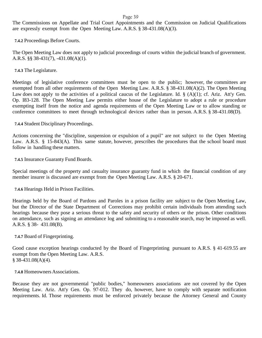The Commissions on Appellate and Trial Court Appointments and the Commission on Judicial Qualifications are expressly exempt from the Open Meeting Law. A.R.S. § 38-431.08(A)(3).

**7.4.2** Proceedings Before Courts.

The Open Meeting Law does not apply to judicial proceedings of courts within the judicial branch of government. A.R.S. §§ 38-431(7), -431.08(A)(1).

**7.4.3** The Legislature.

Meetings of legislative conference committees must be open to the public; however, the committees are exempted from all other requirements of the Open Meeting Law. A.R.S. § 38-431.08(A)(2). The Open Meeting Law does not apply to the activities of a political caucus of the Legislature. Id.  $\S$  (A)(1); cf. Ariz. Att'y Gen. Op. I83-128. The Open Meeting Law permits either house of the Legislature to adopt a rule or procedure exempting itself from the notice and agenda requirements of the Open Meeting Law or to allow standing or conference committees to meet through technological devices rather than in person. A.R.S. § 38-431.08(D).

**7.4.4** Student Disciplinary Proceedings.

Actions concerning the "discipline, suspension or expulsion of a pupil" are not subject to the Open Meeting Law. A.R.S. § 15-843(A). This same statute, however, prescribes the procedures that the school board must follow in handling these matters.

**7.4.5** Insurance Guaranty Fund Boards.

Special meetings of the property and casualty insurance guaranty fund in which the financial condition of any member insurer is discussed are exempt from the Open Meeting Law. A.R.S. § 20-671.

**7.4.6** Hearings Held in Prison Facilities.

Hearings held by the Board of Pardons and Paroles in a prison facility are subject to the Open Meeting Law, but the Director of the State Department of Corrections may prohibit certain individuals from attending such hearings because they pose a serious threat to the safety and security of others or the prison. Other conditions on attendance, such as signing an attendance log and submitting to a reasonable search, may be imposed as well. A.R.S. § 38- 431.08(B).

**7.4.7** Board of Fingerprinting.

Good cause exception hearings conducted by the Board of Fingerprinting pursuant to A.R.S. § 41-619.55 are exempt from the Open Meeting Law. A.R.S.  $§$  38-431.08(A)(4).

**7.4.8** Homeowners Associations.

Because they are not governmental "public bodies," homeowners associations are not covered by the Open Meeting Law. Ariz. Att'y Gen. Op. 97-012. They do, however, have to comply with separate notification requirements. Id. Those requirements must be enforced privately because the Attorney General and County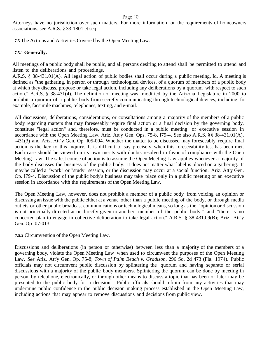Attorneys have no jurisdiction over such matters. For more information on the requirements of homeowners associations, see A.R.S. § 33-1801 et seq.

**7.5** The Actions and Activities Covered by the Open Meeting Law.

## **7.5.1 Generally.**

All meetings of a public body shall be public, and all persons desiring to attend shall be permitted to attend and listen to the deliberations and proceedings.

A.R.S. § 38-431.01(A). All legal action of public bodies shall occur during a public meeting. Id. A meeting is defined as "the gathering, in person or through technological devices, of a quorum of members of a public body at which they discuss, propose or take legal action, including any deliberations by a quorum with respect to such action." A.R.S. § 38-431(4). The definition of meeting was modified by the Arizona Legislature in 2000 to prohibit a quorum of a public body from secretly communicating through technological devices, including, for example, facsimile machines, telephones, texting, and e-mail.

All discussions, deliberations, considerations, or consultations among a majority of the members of a public body regarding matters that may foreseeably require final action or a final decision by the governing body, constitute "legal action" and, therefore, must be conducted in a public meeting or executive session in accordance with the Open Meeting Law. Ariz. Att'y Gen. Ops. 75-8, I79-4. See also A.R.S. §§ 38-431.01(A), -431(3) and Ariz. Att'y Gen. Op. I05-004. Whether the matter to be discussed may foreseeably require final action is the key to this inquiry. It is difficult to say precisely when this foreseeability test has been met. Each case should be viewed on its own merits with doubts resolved in favor of compliance with the Open Meeting Law. The safest course of action is to assume the Open Meeting Law applies whenever a majority of the body discusses the business of the public body. It does not matter what label is placed on a gathering. It may be called a "work" or "study" session, or the discussion may occur at a social function. Ariz. Att'y Gen. Op. I79-4. Discussion of the public body's business may take place only in a public meeting or an executive session in accordance with the requirements of the Open Meeting Law.

The Open Meeting Law, however, does not prohibit a member of a public body from voicing an opinion or discussing an issue with the public either at a venue other than a public meeting of the body, or through media outlets or other public broadcast communications or technological means, so long as the "opinion or discussion is not principally directed at or directly given to another member of the public body," and "there is no concerted plan to engage in collective deliberation to take legal action." A.R.S. § 38-431.09(B); Ariz. Att'y Gen. Op I07-013.

#### **7.5.2** Circumvention of the Open Meeting Law.

Discussions and deliberations (in person or otherwise) between less than a majority of the members of a governing body, violate the Open Meeting Law when used to circumvent the purposes of the Open Meeting Law. *See* Ariz. Att'y Gen. Op. 75-8; *Town of Palm Beach v. Gradison*, 296 So. 2d 473 (Fla. 1974). Public officials may not circumvent public discussion by splintering the quorum and having separate or serial discussions with a majority of the public body members. Splintering the quorum can be done by meeting in person, by telephone, electronically, or through other means to discuss a topic that has been or later may be presented to the public body for a decision. Public officials should refrain from any activities that may undermine public confidence in the public decision making process established in the Open Meeting Law, including actions that may appear to remove discussions and decisions from public view.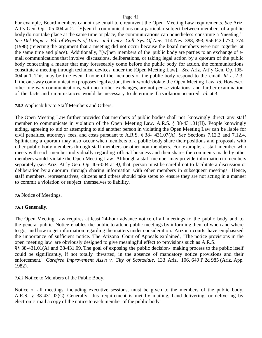For example, Board members cannot use email to circumvent the Open Meeting Law requirements. *See* Ariz. Att'y Gen. Op. I05-004 at 2. "[E]ven if communications on a particular subject between members of a public body do not take place at the same time or place, the communications can nonetheless constitute a 'meeting.'" *See Del Papa v. Bd. of Regents of Univ. and Cmty. Coll. Sys. Of Nev.*, 114 Nev. 388, 393, 956 P.2d 770, 774 (1998) (rejecting the argument that a meeting did not occur because the board members were not together at the same time and place). Additionally, "[w]hen members of the public body are parties to an exchange of email communications that involve discussions, deliberations, or taking legal action by a quorum of the public body concerning a matter that may foreseeably come before the public body for action, the communications constitute a meeting through technical devices under the [Open Meeting Law]." *See* Ariz. Att'y Gen. Op. I05- 004 at 1. This may be true even if none of the members of the public body respond to the email. *Id.* at 2-3. If the one-way communication proposes legal action, then it would violate the Open Meeting Law. *Id.* However, other one-way communications, with no further exchanges, are not *per se* violations, and further examination of the facts and circumstances would be necessary to determine if a violation occurred. *Id.* at 3.

#### **7.5.3** Applicability to Staff Members and Others.

The Open Meeting Law further provides that members of public bodies shall not knowingly direct any staff member to communicate in violation of the Open Meeting Law. A.R.S. § 38-431.01(H). People knowingly aiding, agreeing to aid or attempting to aid another person in violating the Open Meeting Law can be liable for civil penalties, attorneys' fees, and costs pursuant to A.R.S. § 38- 431.07(A). *See* Sections 7.12.3 and 7.12.4. Splintering a quorum may also occur when members of a public body share their positions and proposals with other public body members through staff members or other non-members. For example, a staff member who meets with each member individually regarding official business and then shares the comments made by other members would violate the Open Meeting Law. Although a staff member may provide information to members separately (*see* Ariz. Att'y Gen. Op. I05-004 at 9*)*, that person must be careful not to facilitate a discussion or deliberation by a quorum through sharing information with other members in subsequent meetings. Hence, staff members, representatives, citizens and others should take steps to ensure they are not acting in a manner to commit a violation or subject themselves to liability.

**7.6** Notice of Meetings.

#### **7.6.1 Generally.**

The Open Meeting Law requires at least 24-hour advance notice of all meetings to the public body and to the general public. Notice enables the public to attend public meetings by informing them of when and where to go, and how to get information regarding the matters under consideration. Arizona courts have emphasized the importance of sufficient notice. The Arizona Court of Appeals explained, "The notice provisions in the open meeting law are obviously designed to give meaningful effect to provisions such as A.R.S. §§ 38-431.01(A) and 38-431.09. The goal of exposing the public decision- making process to the public itself could be significantly, if not totally thwarted, in the absence of mandatory notice provisions and their enforcement." *Carefree Improvement Ass'n v. City of Scottsdale*, 133 Ariz. 106, 649 P.2d 985 (Ariz. App. 1982).

**7.6.2** Notice to Members of the Public Body.

Notice of all meetings, including executive sessions, must be given to the members of the public body. A.R.S. § 38-431.02(C). Generally, this requirement is met by mailing, hand-delivering, or delivering by electronic mail a copy of the notice to each member of the public body.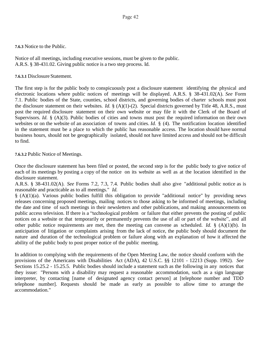## **7.6.3** Notice to the Public.

Notice of all meetings, including executive sessions, must be given to the public. A.R.S. § 38-431.02. Giving public notice is a two step process. Id.

**7.6.3.1** Disclosure Statement.

The first step is for the public body to conspicuously post a disclosure statement identifying the physical and electronic locations where public notices of meetings will be displayed. A.R.S. § 38-431.02(A). *See* Form 7.1. Public bodies of the State, counties, school districts, and governing bodies of charter schools must post the disclosure statement on their websites. *Id.* § (A)(1)-(2). Special districts governed by Title 48, A.R.S., must post the required disclosure statement on their own website or may file it with the Clerk of the Board of Supervisors. *Id.* § (A)(3). Public bodies of cities and towns must post the required information on their own websites or on the website of an association of towns and cities. *Id.* § (4). The notification location identified in the statement must be a place to which the public has reasonable access. The location should have normal business hours, should not be geographically isolated, should not have limited access and should not be difficult to find.

**7.6.3.2** Public Notice of Meetings.

Once the disclosure statement has been filed or posted, the second step is for the public body to give notice of each of its meetings by posting a copy of the notice on its website as well as at the location identified in the disclosure statement.

A.R.S. § 38-431.02(A). *See* Forms 7.2, 7.3, 7.4. Public bodies shall also give "additional public notice as is reasonable and practicable as to all meetings." *Id.*

§ (A)(1)(a). Various public bodies fulfill this obligation to provide "additional notice" by providing news releases concerning proposed meetings, mailing notices to those asking to be informed of meetings, including the date and time of such meetings in their newsletters and other publications, and making announcements on public access television. If there is a "technological problem or failure that either prevents the posting of public notices on a website or that temporarily or permanently prevents the use of all or part of the website", and all other public notice requirements are met, then the meeting can convene as scheduled. *Id.* § (A)(1)(b). In anticipation of litigation or complaints arising from the lack of notice, the public body should document the nature and duration of the technological problem or failure along with an explanation of how it affected the ability of the public body to post proper notice of the public meeting.

In addition to complying with the requirements of the Open Meeting Law, the notice should conform with the provisions of the Americans with Disabilities Act (ADA), 42 U.S.C. §§ 12101 - 12213 (Supp. 1992). *See* Sections 15.25.2 - 15.25.5. Public bodies should include a statement such as the following in any notices that they issue: "Persons with a disability may request a reasonable accommodation, such as a sign language interpreter, by contacting [name of designated agency contact person] at [telephone number and TDD telephone number]. Requests should be made as early as possible to allow time to arrange the accommodation."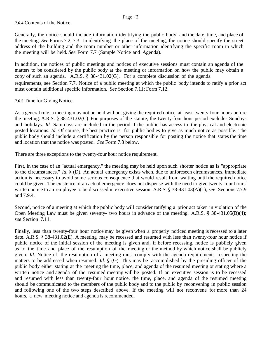**7.6.4** Contents of the Notice.

Generally, the notice should include information identifying the public body and the date, time, and place of the meeting. *See* Forms 7.2, 7.3. In identifying the place of the meeting, the notice should specify the street address of the building and the room number or other information identifying the specific room in which the meeting will be held. *See* Form 7.7 (Sample Notice and Agenda).

In addition, the notices of public meetings and notices of executive sessions must contain an agenda of the matters to be considered by the public body at the meeting or information on how the public may obtain a copy of such an agenda. A.R.S. § 38-431.02(G). For a complete discussion of the agenda requirements, see Section 7.7. Notice of a public meeting at which the public body intends to ratify a prior act must contain additional specific information. *See* Section 7.11; Form 7.12.

**7.6.5** Time for Giving Notice.

As a general rule, a meeting may not be held without giving the required notice at least twenty-four hours before the meeting. A.R.S. § 38-431.02(C). For purposes of the statute, the twenty-four hour period excludes Sundays and holidays. *Id.* Saturdays are included in the period if the public has access to the physical and electronic posted locations. *Id.* Of course, the best practice is for public bodies to give as much notice as possible. The public body should include a certification by the person responsible for posting the notice that states the time and location that the notice was posted. *See* Form 7.8 below.

There are three exceptions to the twenty-four hour notice requirement.

First, in the case of an "actual emergency," the meeting may be held upon such shorter notice as is "appropriate to the circumstances." *Id.* § (D). An actual emergency exists when, due to unforeseen circumstances, immediate action is necessary to avoid some serious consequence that would result from waiting until the required notice could be given. The existence of an actual emergency does not dispense with the need to give twenty-four hours' written notice to an employee to be discussed in executive session. A.R.S. § 38-431.03(A)(1); *see* Sections 7.7.9 and 7.9.4.

Second, notice of a meeting at which the public body will consider ratifying a prior act taken in violation of the Open Meeting Law must be given seventy- two hours in advance of the meeting. A.R.S. § 38-431.05(B)(4); *see* Section 7.11.

Finally, less than twenty-four hour notice may be given when a properly noticed meeting is recessed to a later date. A.R.S. § 38-431.02(E). A meeting may be recessed and resumed with less than twenty-four hour notice if public notice of the initial session of the meeting is given and, if before recessing, notice is publicly given as to the time and place of the resumption of the meeting or the method by which notice shall be publicly given. *Id.* Notice of the resumption of a meeting must comply with the agenda requirements respecting the matters to be addressed when resumed. *Id.* § (G). This may be accomplished by the presiding officer of the public body either stating at the meeting the time, place, and agenda of the resumed meeting or stating where a written notice and agenda of the resumed meeting will be posted. If an executive session is to be recessed and resumed with less than twenty-four hour notice, the time, place, and agenda of the resumed meeting should be communicated to the members of the public body and to the public by reconvening in public session and following one of the two steps described above. If the meeting will not reconvene for more than 24 hours, a new meeting notice and agenda is recommended.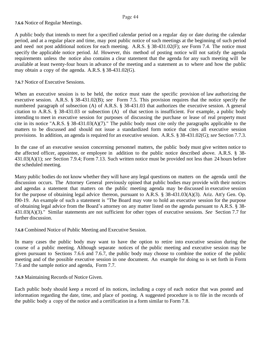## **7.6.6** Notice of Regular Meetings.

A public body that intends to meet for a specified calendar period on a regular day or date during the calendar period, and at a regular place and time, may post public notice of such meetings at the beginning of such period and need not post additional notices for each meeting. A.R.S. § 38-431.02(F); *see* Form 7.4. The notice must specify the applicable notice period. *Id.* However, this method of posting notice will not satisfy the agenda requirements unless the notice also contains a clear statement that the agenda for any such meeting will be available at least twenty-four hours in advance of the meeting and a statement as to where and how the public may obtain a copy of the agenda. A.R.S. § 38-431.02(G).

#### **7.6.7** Notice of Executive Sessions.

When an executive session is to be held, the notice must state the specific provision of law authorizing the executive session. A.R.S. § 38-431.02(B); *see* Form 7.5. This provision requires that the notice specify the numbered paragraph of subsection (A) of A.R.S. § 38-431.03 that authorizes the executive session. A general citation to A.R.S. § 38-431.03 or subsection (A) of that section is insufficient. For example, a public body intending to meet in executive session for purposes of discussing the purchase or lease of real property must cite in its notice "A.R.S. § 38-431.03(A)(7)." The public body must cite only the paragraphs applicable to the matters to be discussed and should not issue a standardized form notice that cites all executive session provisions. In addition, an agenda is required for an executive session. A.R.S. § 38-431.02(G); *see* Section 7.7.3.

In the case of an executive session concerning personnel matters, the public body must give written notice to the affected officer, appointee, or employee in addition to the public notice described above. A.R.S. § 38- 431.03(A)(1); *see* Section 7.9.4; Form 7.13. Such written notice must be provided not less than 24 hours before the scheduled meeting.

Many public bodies do not know whether they will have any legal questions on matters on the agenda until the discussion occurs. The Attorney General previously opined that public bodies may provide with their notices and agendas a statement that matters on the public meeting agenda may be discussed in executive session for the purpose of obtaining legal advice thereon, pursuant to A.R.S. § 38-431.03(A)(3). Ariz. Att'y Gen. Op. I90-19. An example of such a statement is "The Board may vote to hold an executive session for the purpose of obtaining legal advice from the Board's attorney on any matter listed on the agenda pursuant to A.R.S. § 38- 431.03(A)(3)." Similar statements are not sufficient for other types of executive sessions. *See* Section 7.7 for further discussion.

**7.6.8** Combined Notice of Public Meeting and Executive Session.

In many cases the public body may want to have the option to retire into executive session during the course of a public meeting. Although separate notices of the public meeting and executive session may be given pursuant to Sections 7.6.6 and 7.6.7, the public body may choose to combine the notice of the public meeting and of the possible executive session in one document. An example for doing so is set forth in Form 7.6 and the sample notice and agenda, Form 7.7.

#### **7.6.9** Maintaining Records of Notice Given.

Each public body should keep a record of its notices, including a copy of each notice that was posted and information regarding the date, time, and place of posting. A suggested procedure is to file in the records of the public body a copy of the notice and a certification in a form similar to Form 7.8.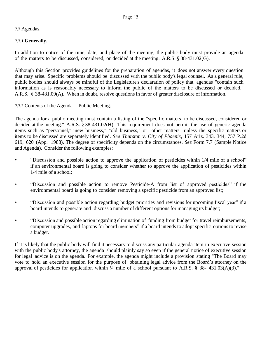## **7.7** Agendas.

## **7.7.1 Generally.**

In addition to notice of the time, date, and place of the meeting, the public body must provide an agenda of the matters to be discussed, considered, or decided at the meeting. A.R.S. § 38-431.02(G).

Although this Section provides guidelines for the preparation of agendas, it does not answer every question that may arise. Specific problems should be discussed with the public body's legal counsel. As a general rule, public bodies should always be mindful of the Legislature's declaration of policy that agendas "contain such information as is reasonably necessary to inform the public of the matters to be discussed or decided." A.R.S. § 38-431.09(A). When in doubt, resolve questions in favor of greater disclosure of information.

**7.7.2** Contents of the Agenda -- Public Meeting.

The agenda for a public meeting must contain a listing of the "specific matters to be discussed, considered or decided at the meeting." A.R.S. § 38-431.02(H). This requirement does not permit the use of generic agenda items such as "personnel," "new business," "old business," or "other matters" unless the specific matters or items to be discussed are separately identified. *See Thurston v. City of Phoenix*, 157 Ariz. 343, 344, 757 P.2d 619, 620 (App. 1988). The degree of specificity depends on the circumstances. *See* Form 7.7 (Sample Notice and Agenda). Consider the following examples:

- "Discussion and possible action to approve the application of pesticides within 1/4 mile of a school" if an environmental board is going to consider whether to approve the application of pesticides within 1/4 mile of a school;
- "Discussion and possible action to remove Pesticide-A from list of approved pesticides" if the environmental board is going to consider removing a specific pesticide from an approved list;
- "Discussion and possible action regarding budget priorities and revisions for upcoming fiscal year" if a board intends to generate and discuss a number of different options for managing its budget;
- "Discussion and possible action regarding elimination of funding from budget for travel reimbursements, computer upgrades, and laptops for board members" if a board intends to adopt specific options to revise a budget.

If it is likely that the public body will find it necessary to discuss any particular agenda item in executive session with the public body's attorney, the agenda should plainly say so even if the general notice of executive session for legal advice is on the agenda. For example, the agenda might include a provision stating "The Board may vote to hold an executive session for the purpose of obtaining legal advice from the Board's attorney on the approval of pesticides for application within  $\frac{1}{4}$  mile of a school pursuant to A.R.S. § 38- 431.03(A)(3)."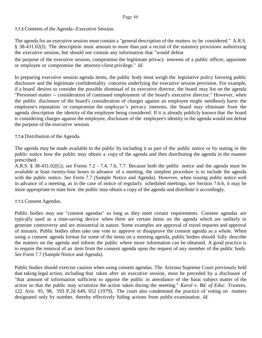**7.7.3** Contents of the Agenda--Executive Session.

The agenda for an executive session must contain a "general description of the matters to be considered." A.R.S. § 38-431.02(I). The description must amount to more than just a recital of the statutory provisions authorizing the executive session, but should not contain any information that "would defeat

the purpose of the executive session, compromise the legitimate privacy interests of a public officer, appointee or employee or compromise the attorney-client privilege." *Id*.

In preparing executive session agenda items, the public body must weigh the legislative policy favoring public disclosure and the legitimate confidentiality concerns underlying the executive session provision. For example, if a board desires to consider the possible dismissal of its executive director, the board may list on the agenda "Personnel matter -- consideration of continued employment of the board's executive director." However, when the public disclosure of the board's consideration of charges against an employee might needlessly harm the employee's reputation or compromise the employee's privacy interests, the board may eliminate from the agenda description the identity of the employee being considered. If it is already publicly known that the board is considering charges against the employee, disclosure of the employee's identity in the agenda would not defeat the purpose of the executive session.

## **7.7.4** Distribution of the Agenda.

The agenda may be made available to the public by including it as part of the public notice or by stating in the public notice how the public may obtain a copy of the agenda and then distributing the agenda in the manner prescribed.

A.R.S. § 38-431.02(G); *see* Forms 7.2 - 7.4, 7.6, 7.7. Because both the public notice and the agenda must be available at least twenty-four hours in advance of a meeting, the simplest procedure is to include the agenda with the public notice. *See* Form 7.7 (Sample Notice and Agenda). However, when issuing public notice well in advance of a meeting, as in the case of notice of regularly scheduled meetings, *see* Section 7.6.6, it may be more appropriate to state how the public may obtain a copy of the agenda and distribute it accordingly.

#### **7.7.5** Consent Agendas.

Public bodies may use "consent agendas" so long as they meet certain requirements. Consent agendas are typically used as a time-saving device when there are certain items on the agenda which are unlikely to generate controversy and are ministerial in nature. Some examples are approval of travel requests and approval of minutes. Public bodies often take one vote to approve or disapprove the consent agenda as a whole. When using a consent agenda format for some of the items on a meeting agenda, public bodies should fully describe the matters on the agenda and inform the public where more information can be obtained. A good practice is to require the removal of an item from the consent agenda upon the request of any member of the public body. *See* Form 7.7 (Sample Notice and Agenda).

Public bodies should exercise caution when using consent agendas. The Arizona Supreme Court previously held that taking legal action, including that taken after an executive session, must be preceded by a disclosure of "that amount of information sufficient to apprise the public in attendance of the basic subject matter of the action so that the public may scrutinize the action taken during the meeting." *Karol v. Bd. of Educ. Trustees*, 122 Ariz. 95, 98, 593 P.2d 649, 652 (1979)**.** The court also condemned the practice of voting on matters designated only by number, thereby effectively hiding actions from public examination. *Id.*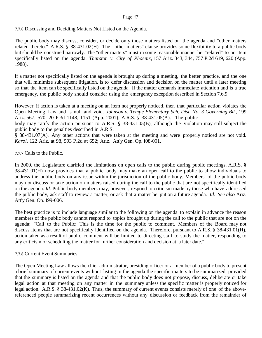**7.7.6** Discussing and Deciding Matters Not Listed on the Agenda.

The public body may discuss, consider, or decide only those matters listed on the agenda and "other matters related thereto." A.R.S. § 38-431.02(H). The "other matters" clause provides some flexibility to a public body but should be construed narrowly. The "other matters" must in some reasonable manner be "related" to an item specifically listed on the agenda. *Thurston v. City of Phoenix*, 157 Ariz. 343, 344, 757 P.2d 619, 620 (App. 1988).

If a matter not specifically listed on the agenda is brought up during a meeting, the better practice, and the one that will minimize subsequent litigation, is to defer discussion and decision on the matter until a later meeting so that the item can be specifically listed on the agenda. If the matter demands immediate attention and is a true emergency, the public body should consider using the emergency exception described in Section 7.6.9.

However, if action is taken at a meeting on an item not properly noticed, then that particular action violates the Open Meeting Law and is null and void. *Johnson v. Tempe Elementary Sch. Dist. No. 3 Governing Bd.*, 199 Ariz. 567, 570, 20 P.3d 1148, 1151 (App. 2001); A.R.S. § 38-431.05(A). The public

body may ratify the action pursuant to A.R.S. § 38-431.05(B), although the violation may still subject the public body to the penalties described in A.R.S.

§ 38-431.07(A). Any other actions that were taken at the meeting and were properly noticed are not void. *Karol*, 122 Ariz. at 98, 593 P.2d at 652; Ariz. Att'y Gen. Op. I08-001.

**7.7.7** Calls to the Public.

In 2000, the Legislature clarified the limitations on open calls to the public during public meetings. A.R.S. § 38-431.01(H) now provides that a public body may make an open call to the public to allow individuals to address the public body on any issue within the jurisdiction of the public body. Members of the public body may not discuss or take action on matters raised during the call to the public that are not specifically identified on the agenda. *Id.* Public body members may, however, respond to criticism made by those who have addressed the public body, ask staff to review a matter, or ask that a matter be put on a future agenda. *Id. See also* Ariz. Att'y Gen. Op. I99-006.

The best practice is to include language similar to the following on the agenda to explain in advance the reason members of the public body cannot respond to topics brought up during the call to the public that are not on the agenda: "Call to the Public: This is the time for the public to comment. Members of the Board may not discuss items that are not specifically identified on the agenda. Therefore, pursuant to A.R.S. § 38-431.01(H), action taken as a result of public comment will be limited to directing staff to study the matter, responding to any criticism or scheduling the matter for further consideration and decision at a later date."

**7.7.8** Current Event Summaries.

The Open Meeting Law allows the chief administrator, presiding officer or a member of a public body to present a brief summary of current events without listing in the agenda the specific matters to be summarized, provided that the summary is listed on the agenda and that the public body does not propose, discuss, deliberate or take legal action at that meeting on any matter in the summary unless the specific matter is properly noticed for legal action. A.R.S. § 38-431.02(K). Thus, the summary of current events consists merely of one of the abovereferenced people summarizing recent occurrences without any discussion or feedback from the remainder of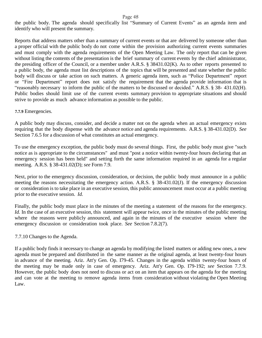the public body. The agenda should specifically list "Summary of Current Events" as an agenda item and identify who will present the summary.

Reports that address matters other than a summary of current events or that are delivered by someone other than a proper official with the public body do not come within the provision authorizing current events summaries and must comply with the agenda requirements of the Open Meeting Law. The only report that can be given without listing the contents of the presentation is the brief summary of current events by the chief administrator, the presiding officer of the Council, or a member under A.R.S. § 38431.02(K). As to other reports presented to a public body, the agenda must list descriptions of the topics that will be presented and state whether the public body will discuss or take action on such matters. A generic agenda item, such as "Police Department" report or "Fire Department" report does not satisfy the requirement that the agenda provide information that is "reasonably necessary to inform the public of the matters to be discussed or decided." A.R.S. § 38- 431.02(H). Public bodies should limit use of the current events summary provision to appropriate situations and should strive to provide as much advance information as possible to the public.

#### **7.7.9** Emergencies.

A public body may discuss, consider, and decide a matter not on the agenda when an actual emergency exists requiring that the body dispense with the advance notice and agenda requirements. A.R.S. § 38-431.02(D). *See* Section 7.6.5 for a discussion of what constitutes an actual emergency.

To use the emergency exception, the public body must do several things. First, the public body must give "such notice as is appropriate to the circumstances" and must "post a notice within twenty-four hours declaring that an emergency session has been held" and setting forth the same information required in an agenda for a regular meeting. A.R.S. § 38-431.02(D); *see* Form 7.9.

Next, prior to the emergency discussion, consideration, or decision, the public body must announce in a public meeting the reasons necessitating the emergency action. A.R.S. § 38-431.02(J). If the emergency discussion or consideration is to take place in an executive session, this public announcement must occur at a public meeting prior to the executive session. *Id.*

Finally, the public body must place in the minutes of the meeting a statement of the reasons for the emergency. *Id.* In the case of an executive session, this statement will appear twice, once in the minutes of the public meeting where the reasons were publicly announced, and again in the minutes of the executive session where the emergency discussion or consideration took place. *See* Section 7.8.2(7).

#### 7.7.10 Changes to the Agenda.

If a public body finds it necessary to change an agenda by modifying the listed matters or adding new ones, a new agenda must be prepared and distributed in the same manner as the original agenda, at least twenty-four hours in advance of the meeting. Ariz. Att'y Gen. Op. I79-45. Changes in the agenda within twenty-four hours of the meeting may be made only in case of emergency. Ariz. Att'y Gen. Op. I79-192; *see* Section 7.7.9. However, the public body does not need to discuss or act on an item that appears on the agenda for the meeting and can vote at the meeting to remove agenda items from consideration without violating the Open Meeting Law.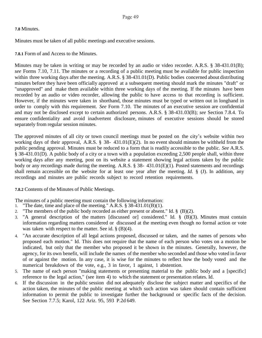#### **7.8** Minutes.

Minutes must be taken of all public meetings and executive sessions.

**7.8.1** Form of and Access to the Minutes.

Minutes may be taken in writing or may be recorded by an audio or video recorder. A.R.S. § 38-431.01(B); *see* Forms 7.10, 7.11. The minutes or a recording of a public meeting must be available for public inspection within three working days after the meeting. A.R.S. § 38-431.01(D). Public bodies concerned about distributing minutes before they have been officially approved at a subsequent meeting should mark the minutes "draft" or "unapproved" and make them available within three working days of the meeting. If the minutes have been recorded by an audio or video recorder, allowing the public to have access to that recording is sufficient. However, if the minutes were taken in shorthand, those minutes must be typed or written out in longhand in order to comply with this requirement. *See* Form 7.10. The minutes of an executive session are confidential and may not be disclosed except to certain authorized persons. A.R.S. § 38-431.03(B); *see* Section 7.8.4. To ensure confidentiality and avoid inadvertent disclosure, minutes of executive sessions should be stored separately from regular session minutes.

The approved minutes of all city or town council meetings must be posted on the city's website within two working days of their approval, A.R.S. § 38- 431.01(E)(2). In no event should minutes be withheld from the public pending approval. Minutes must be reduced to a form that is readily accessible to the public. *See* A.R.S. § 38-431.01(D)*.* A public body of a city or a town with a population exceeding 2,500 people shall, within three working days after any meeting, post on its website a statement showing legal actions taken by the public body or any recordings made during the meeting. A.R.S. § 38- 431.01(E)(1)*.* Posted statements and recordings shall remain accessible on the website for at least one year after the meeting. *Id.* § (J). In addition, any recordings and minutes are public records subject to record retention requirements.

**7.8.2** Contents of the Minutes of Public Meetings.

The minutes of a public meeting must contain the following information:

- 1. "The date, time and place of the meeting." A.R.S.  $\S 38-431.01(B)(1)$ .
- 2. "The members of the public body recorded as either present or absent." Id.  $\S$  (B)(2).
- 3. "A general description of the matters [discussed or] considered." Id. § (B)(3). Minutes must contain information regarding matters considered or discussed at the meeting even though no formal action or vote was taken with respect to the matter. See id.  $\S$  (B)(4).
- 4. "An accurate description of all legal actions proposed, discussed or taken, and the names of persons who proposed each motion." Id. This does not require that the name of each person who votes on a motion be indicated, but only that the member who proposed it be shown in the minutes. Generally, however, the agency, for its own benefit, will include the names of the member who seconded and those who voted in favor of or against the motion. In any case, it is wise for the minutes to reflect how the body voted and the numerical breakdown of the vote, e.g., 3 in favor, 1 against, 1 abstention.
- 5. The name of each person "making statements or presenting material to the public body and a [specific] reference to the legal action," (see item 4) to which the statement or presentation relates. Id.
- 6. If the discussion in the public session did not adequately disclose the subject matter and specifics of the action taken, the minutes of the public meeting at which such action was taken should contain sufficient information to permit the public to investigate further the background or specific facts of the decision. See Section 7.7.5; Karol, 122 Ariz. 95, 593 P.2d 649.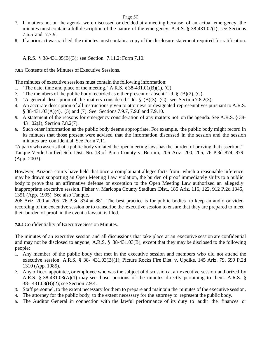- 7. If matters not on the agenda were discussed or decided at a meeting because of an actual emergency, the minutes must contain a full description of the nature of the emergency. A.R.S. § 38-431.02(J); see Sections 7.6.5 and 7.7.9.
- 8. If a prior act was ratified, the minutes must contain a copy of the disclosure statement required for ratification.

A.R.S. § 38-431.05(B)(3); see Section 7.11.2; Form 7.10.

**7.8.3** Contents of the Minutes of Executive Sessions.

The minutes of executive sessions must contain the following information:

- 1. "The date, time and place of the meeting." A.R.S.  $\S 38-431.01(B)(1)$ , (C).
- 2. "The members of the public body recorded as either present or absent." Id.  $\S$  (B)(2), (C).
- 3. "A general description of the matters considered." Id. § (B)(3), (C); see Section 7.8.2(3).
- 4. An accurate description of all instructions given to attorneys or designated representatives pursuant to A.R.S. § 38-431.03(A)(4), (5) and (7). See Sections 7.9.7, 7.9.8 and 7.9.10.
- 5. A statement of the reasons for emergency consideration of any matters not on the agenda. See A.R.S. § 38- 431.02(J); Section 7.8.2(7).
- 6. Such other information as the public body deems appropriate. For example, the public body might record in its minutes that those present were advised that the information discussed in the session and the session minutes are confidential. See Form 7.11.

"A party who asserts that a public body violated the open meeting laws has the burden of proving that assertion." Tanque Verde Unified Sch. Dist. No. 13 of Pima County v. Bernini, 206 Ariz. 200, 205, 76 P.3d 874, 879 (App. 2003).

However, Arizona courts have held that once a complainant alleges facts from which a reasonable inference may be drawn supporting an Open Meeting Law violation, the burden of proof immediately shifts to a public body to prove that an affirmative defense or exception to the Open Meeting Law authorized an allegedly inappropriate executive session. Fisher v. Maricopa County Stadium Dist., 185 Ariz. 116, 122, 912 P.2d 1345, 1351 (App. 1995). See also Tanque,

206 Ariz. 200 at 205, 76 P.3d 874 at 881. The best practice is for public bodies to keep an audio or video recording of the executive session or to transcribe the executive session to ensure that they are prepared to meet their burden of proof in the event a lawsuit is filed.

**7.8.4** Confidentiality of Executive Session Minutes.

The minutes of an executive session and all discussions that take place at an executive session are confidential and may not be disclosed to anyone, A.R.S. § 38-431.03(B), except that they may be disclosed to the following people:

- 1. Any member of the public body that met in the executive session and members who did not attend the executive session. A.R.S. § 38- 431.03(B)(1); Picture Rocks Fire Dist. v. Updike, 145 Ariz. 79, 699 P.2d 1310 (App. 1985).
- 2. Any officer, appointee, or employee who was the subject of discussion at an executive session authorized by A.R.S. § 38-431.03(A)(1) may see those portions of the minutes directly pertaining to them. A.R.S. § 38- 431.03(B)(2); see Section 7.9.4.
- 3. Staff personnel, to the extent necessary for them to prepare and maintain the minutes of the executive session.
- 4. The attorney for the public body, to the extent necessary for the attorney to represent the public body.
- 5. The Auditor General in connection with the lawful performance of its duty to audit the finances or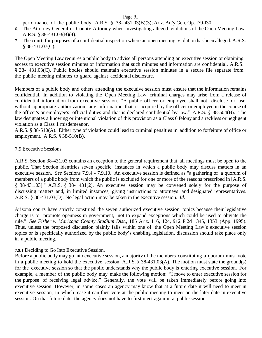performance of the public body. A.R.S. § 38- 431.03(B)(3); Ariz. Att'y Gen. Op. I79-l30.

- 6. The Attorney General or County Attorney when investigating alleged violations of the Open Meeting Law. A.R.S. § 38-431.03(B)(4).
- 7. The court, for purposes of a confidential inspection where an open meeting violation has been alleged. A.R.S. § 38-431.07(C).

The Open Meeting Law requires a public body to advise all persons attending an executive session or obtaining access to executive session minutes or information that such minutes and information are confidential. A.R.S. § 38- 431.03(C). Public bodies should maintain executive session minutes in a secure file separate from the public meeting minutes to guard against accidental disclosure.

Members of a public body and others attending the executive session must ensure that the information remains confidential. In addition to violating the Open Meeting Law, criminal charges may arise from a release of confidential information from executive session. "A public officer or employee shall not disclose or use, without appropriate authorization, any information that is acquired by the officer or employee in the course of the officer's or employee's official duties and that is declared confidential by law." A.R.S. § 38-504(B). The law designates a knowing or intentional violation of this provision as a Class 6 felony and a reckless or negligent violation as a Class 1 misdemeanor.

A.R.S. § 38-510(A). Either type of violation could lead to criminal penalties in addition to forfeiture of office or employment. A.R.S. § 38-510(B).

## 7.9 Executive Sessions.

A.R.S. Section 38-431.03 contains an exception to the general requirement that all meetings must be open to the public. That Section identifies seven specific instances in which a public body may discuss matters in an executive session. *See* Sections 7.9.4 - 7.9.10. An executive session is defined as "a gathering of a quorum of members of a public body from which the public is excluded for one or more of the reasons prescribed in [A.R.S. § 38-431.03]." A.R.S. § 38- 431(2). An executive session may be convened solely for the purpose of discussing matters and, in limited instances, giving instructions to attorneys and designated representatives. A.R.S. § 38-431.03(D). No legal action may be taken in the executive session. *Id*.

Arizona courts have strictly construed the seven authorized executive session topics because their legislative charge is to "promote openness in government, not to expand exceptions which could be used to obviate the rule." *See Fisher v. Maricopa County Stadium Dist.*, 185 Ariz. 116, 124, 912 P.2d 1345, 1353 (App. 1995). Thus, unless the proposed discussion plainly falls within one of the Open Meeting Law's executive session topics or is specifically authorized by the public body's enabling legislation, discussion should take place only in a public meeting.

#### **7.9.1** Deciding to Go Into Executive Session.

Before a public body may go into executive session, a majority of the members constituting a quorum must vote in a public meeting to hold the executive session. A.R.S. § 38-431.03(A). The motion must state the ground(s) for the executive session so that the public understands why the public body is entering executive session. For example, a member of the public body may make the following motion: "I move to enter executive session for the purpose of receiving legal advice." Generally, the vote will be taken immediately before going into executive session. However, in some cases an agency may know that at a future date it will need to meet in executive session, in which case it can then vote at the public meeting to meet on the later date in executive session. On that future date, the agency does not have to first meet again in a public session.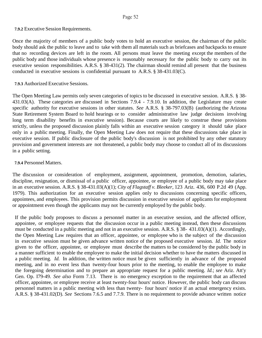## **7.9.2** Executive Session Requirements.

Once the majority of members of a public body votes to hold an executive session, the chairman of the public body should ask the public to leave and to take with them all materials such as briefcases and backpacks to ensure that no recording devices are left in the room. All persons must leave the meeting except the members of the public body and those individuals whose presence is reasonably necessary for the public body to carry out its executive session responsibilities. A.R.S. § 38-431(2). The chairman should remind all present that the business conducted in executive sessions is confidential pursuant to A.R.S. § 38-431.03(C).

## **7.9.3** Authorized Executive Sessions.

The Open Meeting Law permits only seven categories of topics to be discussed in executive session. A.R.S. § 38- 431.03(A). These categories are discussed in Sections 7.9.4 - 7.9.10. In addition, the Legislature may create specific authority for executive sessions in other statutes. *See* A.R.S. § 38-797.03(B) (authorizing the Arizona State Retirement System Board to hold hearings or to consider administrative law judge decisions involving long term disability benefits in executive session). Because courts are likely to construe these provisions strictly, unless the proposed discussion plainly falls within an executive session category it should take place only in a public meeting. Finally, the Open Meeting Law does not require that these discussions take place in executive session. If public disclosure of the public body's discussion is not prohibited by any other statutory provision and government interests are not threatened, a public body may choose to conduct all of its discussions in a public setting.

## **7.9.4** Personnel Matters.

The discussion or consideration of employment, assignment, appointment, promotion, demotion, salaries, discipline, resignation, or dismissal of a public officer, appointee, or employee of a public body may take place in an executive session. A.R.S. § 38-431.03(A)(1); *City of Flagstaff v. Bleeker*, 123 Ariz. 436, 600 P.2d 49 (App. 1979). This authorization for an executive session applies only to discussions concerning specific officers, appointees, and employees. This provision permits discussion in executive session of applicants for employment or appointment even though the applicants may not be currently employed by the public body.

If the public body proposes to discuss a personnel matter in an executive session, and the affected officer, appointee, or employee requests that the discussion occur in a public meeting instead, then these discussions must be conducted in a public meeting and not in an executive session. A.R.S. § 38- 431.03(A)(1). Accordingly, the Open Meeting Law requires that an officer, appointee, or employee who is the subject of the discussion in executive session must be given advance written notice of the proposed executive session. *Id.* The notice given to the officer, appointee, or employee must describe the matters to be considered by the public body in a manner sufficient to enable the employee to make the initial decision whether to have the matters discussed in a public meeting. *Id.* In addition, the written notice must be given sufficiently in advance of the proposed meeting, and in no event less than twenty-four hours prior to the meeting, to enable the employee to make the foregoing determination and to prepare an appropriate request for a public meeting. *Id.*; *see* Ariz. Att'y Gen. Op. I79-49. *See also* Form 7.13. There is no emergency exception to the requirement that an affected officer, appointee, or employee receive at least twenty-four hours' notice. However, the public body can discuss personnel matters in a public meeting with less than twenty- four hours' notice if an actual emergency exists. A.R.S. § 38-431.02(D). *See* Sections 7.6.5 and 7.7.9. There is no requirement to provide advance written notice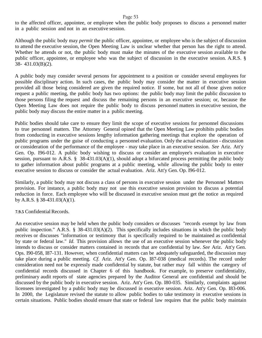to the affected officer, appointee, or employee when the public body proposes to discuss a personnel matter in a public session and not in an executive session.

Although the public body may *permit* the public officer, appointee, or employee who is the subject of discussion to attend the executive session, the Open Meeting Law is unclear whether that person has the right to attend. Whether he attends or not, the public body must make the minutes of the executive session available to the public officer, appointee, or employee who was the subject of discussion in the executive session. A.R.S. § 38- 431.03(B)(2).

A public body may consider several persons for appointment to a position or consider several employees for possible disciplinary action. In such cases, the public body may consider the matter in executive session provided all those being considered are given the required notice. If some, but not all of those given notice request a public meeting, the public body has two options: the public body may limit the public discussion to those persons filing the request and discuss the remaining persons in an executive session; or, because the Open Meeting Law does not require the public body to discuss personnel matters in executive session, the public body may discuss the entire matter in a public meeting.

Public bodies should take care to ensure they limit the scope of executive sessions for personnel discussions to true personnel matters. The Attorney General opined that the Open Meeting Law prohibits public bodies from conducting in executive sessions lengthy information gathering meetings that explore the operation of public programs under the guise of conducting a personnel evaluation. Only the actual evaluation - discussion or consideration of the performance of the employee - may take place in an executive session. *See* Ariz. Att'y Gen. Op. I96-012. A public body wishing to discuss or consider an employee's evaluation in executive session, pursuant to A.R.S. § 38-431.03(A)(1), should adopt a bifurcated process permitting the public body to gather information about public programs at a public meeting, while allowing the public body to enter executive session to discuss or consider the actual evaluation. Ariz. Att'y Gen. Op. I96-012.

Similarly, a public body may not discuss a class of persons in executive session under the Personnel Matters provision. For instance, a public body may not use this executive session provision to discuss a potential reduction in force. Each employee who will be discussed in executive session must get the notice as required by A.R.S. § 38-431.03(A)(1).

#### **7.9.5** Confidential Records.

An executive session may be held when the public body considers or discusses "records exempt by law from public inspection." A.R.S. § 38-431.03(A)(2). This specifically includes situations in which the public body receives or discusses "information or testimony that is specifically required to be maintained as confidential by state or federal law." *Id*. This provision allows the use of an executive session whenever the public body intends to discuss or consider matters contained in records that are confidential by law. *See* Ariz. Att'y Gen. Ops. I90-058, I87-131. However, when confidential matters can be adequately safeguarded, the discussion may take place during a public meeting. *Cf*. Ariz. Att'y Gen. Op. I87-038 (medical records). The record under consideration need not be expressly made confidential by statute, but rather may fall within the category of confidential records discussed in Chapter 6 of this handbook. For example, to preserve confidentiality, preliminary audit reports of state agencies prepared by the Auditor General are confidential and should be discussed by the public body in executive session. Ariz. Att'y Gen. Op. I80-035. Similarly, complaints against licensees investigated by a public body may be discussed in executive session. Ariz. Att'y Gen. Op. I83-006. In 2000, the Legislature revised the statute to allow public bodies to take testimony in executive sessions in certain situations. Public bodies should ensure that state or federal law requires that the public body maintain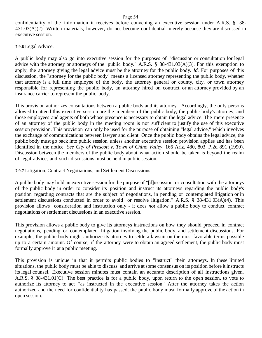confidentiality of the information it receives before convening an executive session under A.R.S. § 38- 431.03(A)(2). Written materials, however, do not become confidential merely because they are discussed in executive session.

**7.9.6** Legal Advice.

A public body may also go into executive session for the purposes of "discussion or consultation for legal advice with the attorney or attorneys of the public body." A.R.S. § 38-431.03(A)(3). For this exemption to apply, the attorney giving the legal advice must be the attorney for the public body. *Id.* For purposes of this discussion, the "attorney for the public body" means a licensed attorney representing the public body, whether that attorney is a full time employee of the body, the attorney general or county, city, or town attorney responsible for representing the public body, an attorney hired on contract, or an attorney provided by an insurance carrier to represent the public body.

This provision authorizes consultations between a public body and its attorney. Accordingly, the only persons allowed to attend this executive session are the members of the public body, the public body's attorney, and those employees and agents of both whose presence is necessary to obtain the legal advice. The mere presence of an attorney of the public body in the meeting room is not sufficient to justify the use of this executive session provision. This provision can only be used for the purpose of obtaining "legal advice," which involves the exchange of communications between lawyer and client. Once the public body obtains the legal advice, the public body must go back into public session unless another executive session provision applies and has been identified in the notice. *See City of Prescott v. Town of Chino Valley*, 166 Ariz. 480, 803 P.2d 891 (1990). Discussion between the members of the public body about what action should be taken is beyond the realm of legal advice, and such discussions must be held in public session.

**7.9.7** Litigation, Contract Negotiations, and Settlement Discussions.

A public body may hold an executive session for the purpose of "[d]iscussion or consultation with the attorneys of the public body in order to consider its position and instruct its attorneys regarding the public body's position regarding contracts that are the subject of negotiations, in pending or contemplated litigation or in settlement discussions conducted in order to avoid or resolve litigation." A.R.S. § 38-431.03(A)(4). This provision allows consideration and instruction only - it does *not* allow a public body to conduct contract negotiations or settlement discussions in an executive session.

This provision allows a public body to give its attorneys instructions on how they should proceed in contract negotiations, pending or contemplated litigation involving the public body, and settlement discussions. For example, the public body might authorize its attorney to settle a lawsuit on the most favorable terms possible up to a certain amount. Of course, if the attorney were to obtain an agreed settlement, the public body must formally approve it at a public meeting.

This provision is unique in that it permits public bodies to "instruct" their attorneys. In these limited situations, the public body must be able to discuss and arrive at some consensus on its position before it instructs its legal counsel. Executive session minutes must contain an accurate description of all instructions given. A.R.S. § 38-431.01(C). The best practice is for a public body, upon return to the open session, to vote to authorize its attorney to act "as instructed in the executive session." After the attorney takes the action authorized and the need for confidentiality has passed, the public body must formally approve of the action in open session.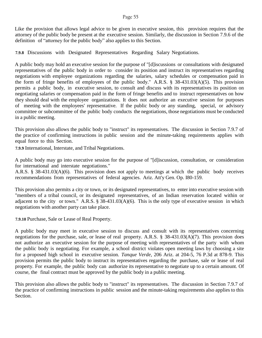Like the provision that allows legal advice to be given in executive session, this provision requires that the attorney of the public body be present at the executive session. Similarly, the discussion in Section 7.9.6 of the definition of "attorney for the public body" also applies to this Section.

**7.9.8** Discussions with Designated Representatives Regarding Salary Negotiations.

A public body may hold an executive session for the purpose of "[d]iscussions or consultations with designated representatives of the public body in order to consider its position and instruct its representatives regarding negotiations with employee organizations regarding the salaries, salary schedules or compensation paid in the form of fringe benefits of employees of the public body." A.R.S. § 38-431.03(A)(5). This provision permits a public body, in executive session, to consult and discuss with its representatives its position on negotiating salaries or compensation paid in the form of fringe benefits and to instruct representatives on how they should deal with the employee organizations. It does not authorize an executive session for purposes of meeting with the employees' representative. If the public body or any standing, special, or advisory committee or subcommittee of the public body conducts the negotiations, those negotiations must be conducted in a public meeting.

This provision also allows the public body to "instruct" its representatives. The discussion in Section 7.9.7 of the practice of confirming instructions in public session and the minute-taking requirements applies with equal force to this Section.

**7.9.9** International, Interstate, and Tribal Negotiations.

A public body may go into executive session for the purpose of "[d]iscussion, consultation, or consideration for international and interstate negotiations."

A.R.S. § 38-431.03(A)(6). This provision does not apply to meetings at which the public body receives recommendations from representatives of federal agencies. Ariz. Att'y Gen. Op. I80-159.

This provision also permits a city or town, or its designated representatives, to enter into executive session with "members of a tribal council, or its designated representatives, of an Indian reservation located within or adjacent to the city or town." A.R.S. § 38-431.03(A)(6). This is the only type of executive session in which negotiations with another party can take place.

**7.9.10** Purchase, Sale or Lease of Real Property.

A public body may meet in executive session to discuss and consult with its representatives concerning negotiations for the purchase, sale, or lease of real property. A.R.S. § 38-431.03(A)(7). This provision does not authorize an executive session for the purpose of meeting with representatives of the party with whom the public body is negotiating. For example, a school district violates open meeting laws by choosing a site for a proposed high school in executive session. *Tanque Verde*, 206 Ariz. at 204-5, 76 P.3d at 878-9. This provision permits the public body to instruct its representatives regarding the purchase, sale or lease of real property. For example, the public body can authorize its representative to negotiate up to a certain amount. Of course, the final contract must be approved by the public body in a public meeting.

This provision also allows the public body to "instruct" its representatives. The discussion in Section 7.9.7 of the practice of confirming instructions in public session and the minute-taking requirements also applies to this Section.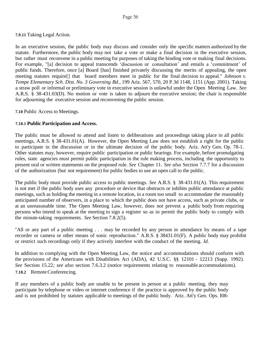**7.9.11** Taking Legal Action.

In an executive session, the public body may discuss and consider only the specific matters authorized by the statute. Furthermore, the public body may not take a vote or make a final decision in the executive session, but rather must reconvene in a public meeting for purposes of taking the binding vote or making final decisions. For example, "[a] decision to appeal transcends 'discussion or consultation' and entails a 'commitment' of public funds. Therefore, once [a] Board [has] finished privately discussing the merits of appealing, the open meeting statutes require[] that board members meet in public for the final decision to appeal." *Johnson v. Tempe Elementary Sch. Dist. No. 3 Governing Bd.*, 199 Ariz. 567, 570, 20 P.3d 1148, 1151 (App. 2001). Taking a straw poll or informal or preliminary vote in executive session is unlawful under the Open Meeting Law. *See* A.R.S. § 38-431.03(D). No motion or vote is taken to adjourn the executive session; the chair is responsible for adjourning the executive session and reconvening the public session.

**7.10** Public Access to Meetings.

## **7.10.1 Public Participation and Access.**

The public must be allowed to attend and listen to deliberations and proceedings taking place in all public meetings, A.R.S. § 38-431.01(A). However, the Open Meeting Law does not establish a right for the public to participate in the discussion or in the ultimate decision of the public body. Ariz. Att'y Gen. Op. 78-1. Other statutes may, however, require public participation or public hearings. For example, before promulgating rules, state agencies must permit public participation in the rule making process, including the opportunity to present oral or written statements on the proposed rule. *See* Chapter 11. *See also* Section 7.7.7 for a discussion of the authorization (but not requirement) for public bodies to use an open call to the public.

The public body must provide public access to public meetings. *See* A.R.S. § 38-431.01(A). This requirement is not met if the public body uses any procedure or device that obstructs or inhibits public attendance at public meetings, such as holding the meeting in a remote location, in a room too small to accommodate the reasonably anticipated number of observers, in a place to which the public does not have access, such as private clubs, or at an unreasonable time. The Open Meeting Law, however, does not prevent a public body from requiring persons who intend to speak at the meeting to sign a register so as to permit the public body to comply with the minute-taking requirements. *See* Section 7.8.2(5).

"All or any part of a public meeting . . . may be recorded by any person in attendance by means of a tape recorder or camera or other means of sonic reproduction." A.R.S. § 38431.01(F). A public body may prohibit or restrict such recordings only if they actively interfere with the conduct of the meeting. *Id.*

In addition to complying with the Open Meeting Law, the notice and accommodations should conform with the provisions of the Americans with Disabilities Act (ADA), 42 U.S.C. §§ 12101 - 12213 (Supp. 1992). *See* Section 15.22*; see also* section 7.6.3.2 (notice requirements relating to reasonable accommodations). 7.10.2 Remote Conferencing.

If any members of a public body are unable to be present in person at a public meeting, they may participate by telephone or video or internet conference if the practice is approved by the public body and is not prohibited by statutes applicable to meetings of the public body. Ariz. Att'y Gen. Ops. I08-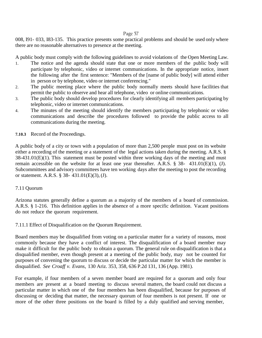008, I91- 033, I83-135. This practice presents some practical problems and should be used only where there are no reasonable alternatives to presence at the meeting.

A public body must comply with the following guidelines to avoid violations of the Open Meeting Law.

- 1. The notice and the agenda should state that one or more members of the public body will participate by telephonic, video or internet communications. In the appropriate notice, insert the following after the first sentence: "Members of the [name of public body] will attend either in person or by telephone, video or internet conferencing."
- 2. The public meeting place where the public body normally meets should have facilities that permit the public to observe and hear all telephone, video or online communications.
- 3. The public body should develop procedures for clearly identifying all members participating by telephonic, video or internet communications.
- 4. The minutes of the meeting should identify the members participating by telephonic or video communications and describe the procedures followed to provide the public access to all communications during the meeting.
- **7.10.3** Record of the Proceedings.

A public body of a city or town with a population of more than 2,500 people must post on its website either a recording of the meeting or a statement of the legal actions taken during the meeting. A.R.S. §  $38-431.01(E)(1)$ . This statement must be posted within three working days of the meeting and must remain accessible on the website for at least one year thereafter. A.R.S. § 38- 431.01(E)(1), (J). Subcommittees and advisory committees have ten working days after the meeting to post the recording or statement. A.R.S. § 38- 431.01(E)(3), (J).

#### 7.11 Quorum

Arizona statutes generally define a quorum as a majority of the members of a board of commission. A.R.S. § 1-216. This definition applies in the absence of a more specific definition. Vacant positions do not reduce the quorum requirement.

#### 7.11.1 Effect of Disqualification on the Quorum Requirement.

Board members may be disqualified from voting on a particular matter for a variety of reasons, most commonly because they have a conflict of interest. The disqualification of a board member may make it difficult for the public body to obtain a quorum. The general rule on disqualification is that a disqualified member, even though present at a meeting of the public body, may not be counted for purposes of convening the quorum to discuss or decide the particular matter for which the member is disqualified. *See Croaff v. Evans*, 130 Ariz. 353, 358, 636 P.2d 131, 136 (App. 1981).

For example, if four members of a seven member board are required for a quorum and only four members are present at a board meeting to discuss several matters, the board could not discuss a particular matter in which one of the four members has been disqualified, because for purposes of discussing or deciding that matter, the necessary quorum of four members is not present. If one or more of the other three positions on the board is filled by a duly qualified and serving member,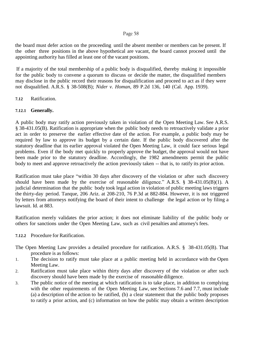the board must defer action on the proceeding until the absent member or members can be present. If the other three positions in the above hypothetical are vacant, the board cannot proceed until the appointing authority has filled at least one of the vacant positions.

If a majority of the total membership of a public body is disqualified, thereby making it impossible for the public body to convene a quorum to discuss or decide the matter, the disqualified members may disclose in the public record their reasons for disqualification and proceed to act as if they were not disqualified. A.R.S. § 38-508(B); *Nider v. Homan*, 89 P.2d 136, 140 (Cal. App. 1939).

## **7.12** Ratification.

## **7.12.1 Generally.**

A public body may ratify action previously taken in violation of the Open Meeting Law. See A.R.S. § 38-431.05(B). Ratification is appropriate when the public body needs to retroactively validate a prior act in order to preserve the earlier effective date of the action. For example, a public body may be required by law to approve its budget by a certain date. If the public body discovered after the statutory deadline that its earlier approval violated the Open Meeting Law, it could face serious legal problems. Even if the body met quickly to properly approve the budget, the approval would not have been made prior to the statutory deadline. Accordingly, the 1982 amendments permit the public body to meet and approve retroactively the action previously taken -- that is, to ratify its prior action.

Ratification must take place "within 30 days after discovery of the violation or after such discovery should have been made by the exercise of reasonable diligence." A.R.S. § 38-431.05(B)(1). A judicial determination that the public body took legal action in violation of public meeting laws triggers the thirty-day period. Tanque, 206 Ariz. at 208-210, 76 P.3d at 882-884. However, it is not triggered by letters from attorneys notifying the board of their intent to challenge the legal action or by filing a lawsuit. Id. at 883.

Ratification merely validates the prior action; it does not eliminate liability of the public body or others for sanctions under the Open Meeting Law, such as civil penalties and attorney's fees.

#### **7.12.2** Procedure for Ratification.

The Open Meeting Law provides a detailed procedure for ratification. A.R.S. § 38-431.05(B). That procedure is as follows:

- 1. The decision to ratify must take place at a public meeting held in accordance with the Open Meeting Law.
- 2. Ratification must take place within thirty days after discovery of the violation or after such discovery should have been made by the exercise of reasonable diligence.
- 3. The public notice of the meeting at which ratification is to take place, in addition to complying with the other requirements of the Open Meeting Law, see Sections 7.6 and 7.7, must include (a) a description of the action to be ratified, (b) a clear statement that the public body proposes to ratify a prior action, and (c) information on how the public may obtain a written description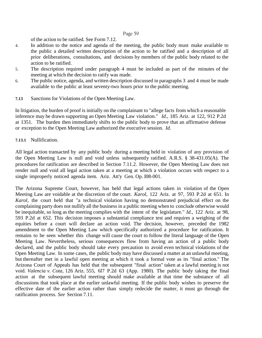of the action to be ratified. See Form 7.12.

- 4. In addition to the notice and agenda of the meeting, the public body must make available to the public a detailed written description of the action to be ratified and a description of all prior deliberations, consultations, and decisions by members of the public body related to the action to be ratified.
- 5. The description required under paragraph 4 must be included as part of the minutes of the meeting at which the decision to ratify was made.
- 6. The public notice, agenda, and written description discussed in paragraphs 3 and 4 must be made available to the public at least seventy-two hours prior to the public meeting.
- **7.13** Sanctions for Violations of the Open Meeting Law.

In litigation, the burden of proof is initially on the complainant to "allege facts from which a reasonable inference may be drawn supporting an Open Meeting Law violation." *Id*., 185 Ariz. at 122, 912 P.2d at 1351. The burden then immediately shifts to the public body to prove that an affirmative defense or exception to the Open Meeting Law authorized the executive session. *Id.*

#### **7.13.1** Nullification.

All legal action transacted by any public body during a meeting held in violation of any provision of the Open Meeting Law is null and void unless subsequently ratified. A.R.S. § 38-431.05(A). The procedures for ratification are described in Section 7.11.2. However, the Open Meeting Law does not render null and void all legal action taken at a meeting at which a violation occurs with respect to a single improperly noticed agenda item. Ariz. Att'y Gen. Op. I08-001.

The Arizona Supreme Court, however, has held that legal actions taken in violation of the Open Meeting Law are voidable at the discretion of the court. *Karol*, 122 Ariz. at 97, 593 P.2d at 651. In *Karol*, the court held that "a technical violation having no demonstrated prejudicial effect on the complaining party does not nullify all the business in a public meeting when to conclude otherwise would be inequitable, so long as the meeting complies with the intent of the legislature." *Id.*, 122 Ariz. at 98, 593 P.2d at 652. This decision imposes a substantial compliance test and requires a weighing of the equities before a court will declare an action void. The decision, however, preceded the 1982 amendment to the Open Meeting Law which specifically authorized a procedure for ratification. It remains to be seen whether this change will cause the court to follow the literal language of the Open Meeting Law. Nevertheless, serious consequences flow from having an action of a public body declared, and the public body should take every precaution to avoid even technical violations of the Open Meeting Law. In some cases, the public body may have discussed a matter at an unlawful meeting, but thereafter met in a lawful open meeting at which it took a formal vote as its "final action." The Arizona Court of Appeals has held that the subsequent "final action" taken at a lawful meeting is not void. *Valencia v. Cota*, 126 Ariz. 555, 6l7 P.2d 63 (App. 1980). The public body taking the final action at the subsequent lawful meeting should make available at that time the substance of all discussions that took place at the earlier unlawful meeting. If the public body wishes to preserve the effective date of the earlier action rather than simply redecide the matter, it must go through the ratification process. *See* Section 7.11.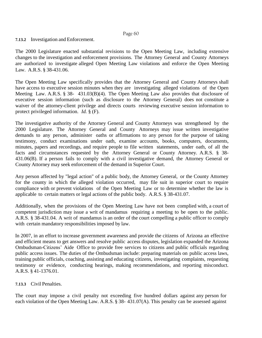#### **7.13.2** Investigation and Enforcement.

The 2000 Legislature enacted substantial revisions to the Open Meeting Law, including extensive changes to the investigation and enforcement provisions. The Attorney General and County Attorneys are authorized to investigate alleged Open Meeting Law violations and enforce the Open Meeting Law. A.R.S. § 38-431.06.

The Open Meeting Law specifically provides that the Attorney General and County Attorneys shall have access to executive session minutes when they are investigating alleged violations of the Open Meeting Law. A.R.S. § 38- 431.03(B)(4). The Open Meeting Law also provides that disclosure of executive session information (such as disclosure to the Attorney General) does not constitute a waiver of the attorney-client privilege and directs courts reviewing executive session information to protect privileged information. *Id.* § (F).

The investigative authority of the Attorney General and County Attorneys was strengthened by the 2000 Legislature. The Attorney General and County Attorneys may issue written investigative demands to any person, administer oaths or affirmations to any person for the purpose of taking testimony, conduct examinations under oath, examine accounts, books, computers, documents, minutes, papers and recordings, and require people to file written statements, under oath, of all the facts and circumstances requested by the Attorney General or County Attorney. A.R.S. § 38- 431.06(B). If a person fails to comply with a civil investigative demand, the Attorney General or County Attorney may seek enforcement of the demand in Superior Court.

Any person affected by "legal action" of a public body, the Attorney General, or the County Attorney for the county in which the alleged violation occurred, may file suit in superior court to require compliance with or prevent violations of the Open Meeting Law or to determine whether the law is applicable to certain matters or legal actions of the public body. A.R.S. § 38-431.07.

Additionally, when the provisions of the Open Meeting Law have not been complied with, a court of competent jurisdiction may issue a writ of mandamus requiring a meeting to be open to the public. A.R.S. § 38-431.04. A writ of mandamus is an order of the court compelling a public officer to comply with certain mandatory responsibilities imposed by law.

In 2007, in an effort to increase government awareness and provide the citizens of Arizona an effective and efficient means to get answers and resolve public access disputes, legislation expanded the Arizona Ombudsman-Citizens' Aide Office to provide free services to citizens and public officials regarding public access issues. The duties of the Ombudsman include: preparing materials on public access laws, training public officials, coaching, assisting and educating citizens, investigating complaints, requesting testimony or evidence, conducting hearings, making recommendations, and reporting misconduct. A.R.S. § 41-1376.01.

## **7.13.3** Civil Penalties.

The court may impose a civil penalty not exceeding five hundred dollars against any person for each violation of the Open Meeting Law. A.R.S. § 38- 431.07(A). This penalty can be assessed against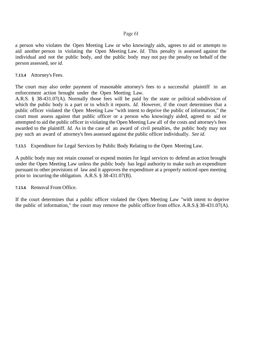a person who violates the Open Meeting Law or who knowingly aids, agrees to aid or attempts to aid another person in violating the Open Meeting Law. *Id*. This penalty is assessed against the individual and not the public body, and the public body may not pay the penalty on behalf of the person assessed, *see id.*

**7.13.4** Attorney's Fees.

The court may also order payment of reasonable attorney's fees to a successful plaintiff in an enforcement action brought under the Open Meeting Law.

A.R.S. § 38-431.07(A). Normally those fees will be paid by the state or political subdivision of which the public body is a part or to which it reports. *Id.* However, if the court determines that a public officer violated the Open Meeting Law "with intent to deprive the public of information," the court must assess against that public officer or a person who knowingly aided, agreed to aid or attempted to aid the public officer in violating the Open Meeting Law all of the costs and attorney's fees awarded to the plaintiff. *Id.* As in the case of an award of civil penalties, the public body may not pay such an award of attorney's fees assessed against the public officer individually. *See id.*

**7.13.5** Expenditure for Legal Services by Public Body Relating to the Open Meeting Law.

A public body may not retain counsel or expend monies for legal services to defend an action brought under the Open Meeting Law unless the public body has legal authority to make such an expenditure pursuant to other provisions of law and it approves the expenditure at a properly noticed open meeting prior to incurring the obligation. A.R.S. § 38-431.07(B).

**7.13.6** Removal From Office.

If the court determines that a public officer violated the Open Meeting Law "with intent to deprive the public of information," the court may remove the public officer from office. A.R.S.§ 38-431.07(A).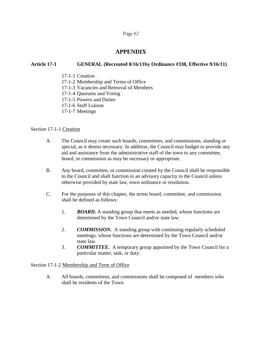## **APPENDIX**

## **Article 17-1 GENERAL (Recreated 8/16/11by Ordinance #338, Effective 9/16/11)**

- 17-1-1 Creation
- 17-1-2 Membership and Terms of Office
- [17-1-3](http://www.amlegal.com/nxt/gateway.dll?f=id$id=Payson,%20Arizona%20Code%20of%20Ordinances%3Ar%3A5845$cid=arizona$t=document-frame.htm$an=JD_33.03$3.0#JD_33.03) Vacancies and Removal of Members
- 17-1-4 Quorums and Voting
- 17-1-5 Powers and Duties
- 17-1-6 Staff Liaison
- 17-1-7 Meetings

## Section 17-1-1 Creation

- A. The Council may create such boards, committees, and commissions, standing or special, as it deems necessary. In addition, the Council may budget to provide any aid and assistance from the administrative staff of the town to any committee, board, or commission as may be necessary or appropriate.
- B. Any board, committee, or commission created by the Council shall be responsible to the Council and shall function in an advisory capacity to the Council unless otherwise provided by state law, town ordinance or resolution.
- C. For the purposes of this chapter, the terms board, committee, and commission shall be defined as follows:
	- 1. *BOARD.* A standing group that meets as needed, whose functions are determined by the Town Council and/or state law.
	- 2. *COMMISSION.* A standing group with continuing regularly scheduled meetings, whose functions are determined by the Town Council and/or state law.
	- 3. *COMMITTEE.* A temporary group appointed by the Town Council for a particular matter, task, or duty.

#### Section 17-1-2 Membership and Term of Office

A. All boards, committees, and commissions shall be composed of members who shall be residents of the Town.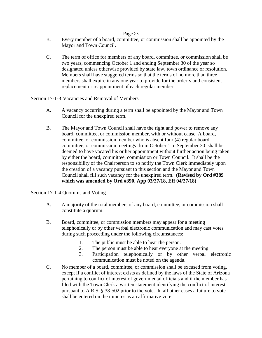- B. Every member of a board, committee, or commission shall be appointed by the Mayor and Town Council.
- C. The term of office for members of any board, committee, or commission shall be two years, commencing October 1 and ending September 30 of the year so designated unless otherwise provided by state law, town ordinance or resolution. Members shall have staggered terms so that the terms of no more than three members shall expire in any one year to provide for the orderly and consistent replacement or reappointment of each regular member.

## Section 17-1-3 Vacancies and Removal of Members

- A. A vacancy occurring during a term shall be appointed by the Mayor and Town Council for the unexpired term.
- B. The Mayor and Town Council shall have the right and power to remove any board, committee, or commission member, with or without cause. A board, committee, or commission member who is absent four (4) regular board, committee, or commission meetings from October 1 to September 30 shall be deemed to have vacated his or her appointment without further action being taken by either the board, committee, commission or Town Council. It shall be the responsibility of the Chairperson to so notify the Town Clerk immediately upon the creation of a vacancy pursuant to this section and the Mayor and Town Council shall fill such vacancy for the unexpired term. **(Revised by Ord #389 which was amended by Ord #390, App 03/27/18, Eff 04/27/18)**

## Section 17-1-4 Quorums and Voting

- A. A majority of the total members of any board, committee, or commission shall constitute a quorum.
- B. Board, committee, or commission members may appear for a meeting telephonically or by other verbal electronic communication and may cast votes during such proceeding under the following circumstances:
	- 1. The public must be able to hear the person.
	- 2. The person must be able to hear everyone at the meeting.
	- 3. Participation telephonically or by other verbal electronic communication must be noted on the agenda.
- C. No member of a board, committee, or commission shall be excused from voting, except if a conflict of interest exists as defined by the laws of the State of Arizona pertaining to conflict of interest of governmental officials and if the member has filed with the Town Clerk a written statement identifying the conflict of interest pursuant to A.R.S. § 38-502 prior to the vote. In all other cases a failure to vote shall be entered on the minutes as an affirmative vote.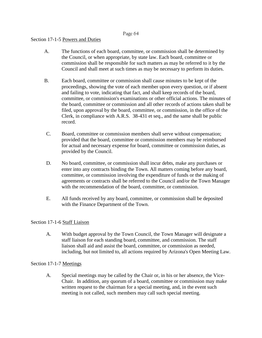## Section 17-1-5 Powers and Duties

- A. The functions of each board, committee, or commission shall be determined by the Council, or when appropriate, by state law. Each board, committee or commission shall be responsible for such matters as may be referred to it by the Council and shall meet at such times as may be necessary to perform its duties.
- B. Each board, committee or commission shall cause minutes to be kept of the proceedings, showing the vote of each member upon every question, or if absent and failing to vote, indicating that fact, and shall keep records of the board, committee, or commission's examinations or other official actions. The minutes of the board, committee or commission and all other records of actions taken shall be filed, upon approval by the board, committee, or commission, in the office of the Clerk, in compliance with A.R.S. 38-431 et seq., and the same shall be public record.
- C. Board, committee or commission members shall serve without compensation; provided that the board, committee or commission members may be reimbursed for actual and necessary expense for board, committee or commission duties, as provided by the Council.
- D. No board, committee, or commission shall incur debts, make any purchases or enter into any contracts binding the Town. All matters coming before any board, committee, or commission involving the expenditure of funds or the making of agreements or contracts shall be referred to the Council and/or the Town Manager with the recommendation of the board, committee, or commission.
- E. All funds received by any board, committee, or commission shall be deposited with the Finance Department of the Town.

#### Section 17-1-6 Staff Liaison

A. With budget approval by the Town Council, the Town Manager will designate a staff liaison for each standing board, committee, and commission. The staff liaison shall aid and assist the board, committee, or commission as needed, including, but not limited to, all actions required by Arizona's Open Meeting Law.

#### Section 17-1-7 Meetings

A. Special meetings may be called by the Chair or, in his or her absence, the Vice-Chair. In addition, any quorum of a board, committee or commission may make written request to the chairman for a special meeting, and, in the event such meeting is not called, such members may call such special meeting.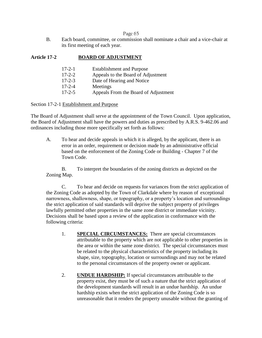B. Each board, committee, or commission shall nominate a chair and a vice-chair at its first meeting of each year.

## **Article 17-2 BOARD OF ADJUSTMENT**

| $17 - 2 - 1$ | <b>Establishment and Purpose</b>     |
|--------------|--------------------------------------|
| $17 - 2 - 2$ | Appeals to the Board of Adjustment   |
| $17 - 2 - 3$ | Date of Hearing and Notice           |
| $17 - 2 - 4$ | Meetings                             |
| $17 - 2 - 5$ | Appeals From the Board of Adjustment |
|              |                                      |

Section 17-2-1 Establishment and Purpose

The Board of Adjustment shall serve at the appointment of the Town Council. Upon application, the Board of Adjustment shall have the powers and duties as prescribed by A.R.S. 9-462.06 and ordinances including those more specifically set forth as follows:

A. To hear and decide appeals in which it is alleged, by the applicant, there is an error in an order, requirement or decision made by an administrative official based on the enforcement of the Zoning Code or Building - Chapter 7 of the Town Code.

B. To interpret the boundaries of the zoning districts as depicted on the Zoning Map.

C. To hear and decide on requests for variances from the strict application of the Zoning Code as adopted by the Town of Clarkdale where by reason of exceptional narrowness, shallowness, shape, or topography, or a property's location and surroundings the strict application of said standards will deprive the subject property of privileges lawfully permitted other properties in the same zone district or immediate vicinity. Decisions shall be based upon a review of the application in conformance with the following criteria:

- 1. **SPECIAL CIRCUMSTANCES:** There are special circumstances attributable to the property which are not applicable to other properties in the area or within the same zone district. The special circumstances must be related to the physical characteristics of the property including its shape, size, topography, location or surroundings and may not be related to the personal circumstances of the property owner or applicant.
- 2. **UNDUE HARDSHIP:** If special circumstances attributable to the property exist, they must be of such a nature that the strict application of the development standards will result in an undue hardship. An undue hardship exists when the strict application of the Zoning Code is so unreasonable that it renders the property unusable without the granting of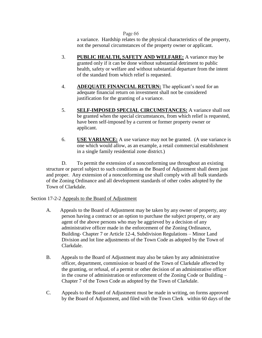a variance. Hardship relates to the physical characteristics of the property, not the personal circumstances of the property owner or applicant.

- 3. **PUBLIC HEALTH, SAFETY AND WELFARE:** A variance may be granted only if it can be done without substantial detriment to public health, safety or welfare and without substantial departure from the intent of the standard from which relief is requested.
- 4. **ADEQUATE FINANCIAL RETURN:** The applicant's need for an adequate financial return on investment shall not be considered justification for the granting of a variance.
- 5. **SELF-IMPOSED SPECIAL CIRCUMSTANCES:** A variance shall not be granted when the special circumstances, from which relief is requested, have been self-imposed by a current or former property owner or applicant.
- 6. **USE VARIANCE:** A use variance may not be granted. (A use variance is one which would allow, as an example, a retail commercial establishment in a single family residential zone district.)

D. To permit the extension of a nonconforming use throughout an existing structure or parcel subject to such conditions as the Board of Adjustment shall deem just and proper. Any extension of a nonconforming use shall comply with all bulk standards of the Zoning Ordinance and all development standards of other codes adopted by the Town of Clarkdale.

## Section 17-2-2 Appeals to the Board of Adjustment

- A. Appeals to the Board of Adjustment may be taken by any owner of property, any person having a contract or an option to purchase the subject property, or any agent of the above persons who may be aggrieved by a decision of any administrative officer made in the enforcement of the Zoning Ordinance, Building- Chapter 7 or Article 12-4, Subdivision Regulations – Minor Land Division and lot line adjustments of the Town Code as adopted by the Town of Clarkdale.
- B. Appeals to the Board of Adjustment may also be taken by any administrative officer, department, commission or board of the Town of Clarkdale affected by the granting, or refusal, of a permit or other decision of an administrative officer in the course of administration or enforcement of the Zoning Code or Building – Chapter 7 of the Town Code as adopted by the Town of Clarkdale.
- C. Appeals to the Board of Adjustment must be made in writing, on forms approved by the Board of Adjustment, and filed with the Town Clerk within 60 days of the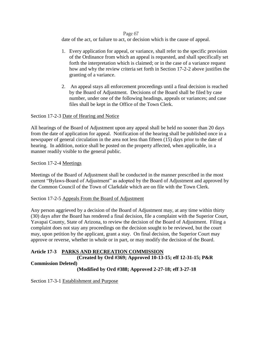date of the act, or failure to act, or decision which is the cause of appeal.

- 1. Every application for appeal, or variance, shall refer to the specific provision of the Ordinance from which an appeal is requested, and shall specifically set forth the interpretation which is claimed; or in the case of a variance request how and why the review criteria set forth in Section 17-2-2 above justifies the granting of a variance.
- 2. An appeal stays all enforcement proceedings until a final decision is reached by the Board of Adjustment. Decisions of the Board shall be filed by case number, under one of the following headings, appeals or variances; and case files shall be kept in the Office of the Town Clerk.

## Section 17-2-3 Date of Hearing and Notice

All hearings of the Board of Adjustment upon any appeal shall be held no sooner than 20 days from the date of application for appeal. Notification of the hearing shall be published once in a newspaper of general circulation in the area not less than fifteen (15) days prior to the date of hearing. In addition, notice shall be posted on the property affected, when applicable, in a manner readily visible to the general public.

## Section 17-2-4 Meetings

Meetings of the Board of Adjustment shall be conducted in the manner prescribed in the most current "Bylaws-Board of Adjustment" as adopted by the Board of Adjustment and approved by the Common Council of the Town of Clarkdale which are on file with the Town Clerk.

#### Section 17-2-5 Appeals From the Board of Adjustment

Any person aggrieved by a decision of the Board of Adjustment may, at any time within thirty (30) days after the Board has rendered a final decision, file a complaint with the Superior Court, Yavapai County, State of Arizona, to review the decision of the Board of Adjustment. Filing a complaint does not stay any proceedings on the decision sought to be reviewed, but the court may, upon petition by the applicant, grant a stay. On final decision, the Superior Court may approve or reverse, whether in whole or in part, or may modify the decision of the Board.

## **Article 17-3 PARKS AND RECREATION COMMISSION**

# **(Created by Ord #369; Approved 10-13-15; eff 12-31-15; P&R Commission Deleted)**

**(Modified by Ord #388; Approved 2-27-18; eff 3-27-18**

Section 17-3-1 Establishment and Purpose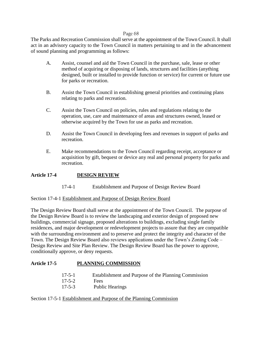The Parks and Recreation Commission shall serve at the appointment of the Town Council. It shall act in an advisory capacity to the Town Council in matters pertaining to and in the advancement of sound planning and programming as follows:

- A. Assist, counsel and aid the Town Council in the purchase, sale, lease or other method of acquiring or disposing of lands, structures and facilities (anything designed, built or installed to provide function or service) for current or future use for parks or recreation.
- B. Assist the Town Council in establishing general priorities and continuing plans relating to parks and recreation.
- C. Assist the Town Council on policies, rules and regulations relating to the operation, use, care and maintenance of areas and structures owned, leased or otherwise acquired by the Town for use as parks and recreation.
- D. Assist the Town Council in developing fees and revenues in support of parks and recreation.
- E. Make recommendations to the Town Council regarding receipt, acceptance or acquisition by gift, bequest or device any real and personal property for parks and recreation.

## **Article 17-4 DESIGN REVIEW**

17-4-1 Establishment and Purpose of Design Review Board

#### Section 17-4-1 Establishment and Purpose of Design Review Board

The Design Review Board shall serve at the appointment of the Town Council. The purpose of the Design Review Board is to review the landscaping and exterior design of proposed new buildings, commercial signage, proposed alterations to buildings, excluding single family residences, and major development or redevelopment projects to assure that they are compatible with the surrounding environment and to preserve and protect the integrity and character of the Town. The Design Review Board also reviews applications under the Town's Zoning Code – Design Review and Site Plan Review. The Design Review Board has the power to approve, conditionally approve, or deny requests.

## **Article 17-5 PLANNING COMMISSION**

| $17 - 5 - 1$ | Establishment and Purpose of the Planning Commission |
|--------------|------------------------------------------------------|
| $17 - 5 - 2$ | Fees                                                 |
| $17 - 5 - 3$ | <b>Public Hearings</b>                               |

#### Section 17-5-1 Establishment and Purpose of the Planning Commission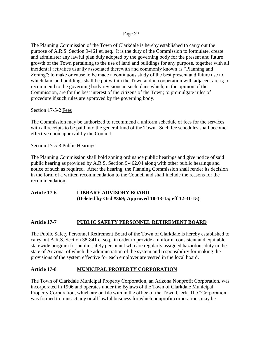The Planning Commission of the Town of Clarkdale is hereby established to carry out the purpose of A.R.S. Section 9-461 et. seq. It is the duty of the Commission to formulate, create and administer any lawful plan duly adopted by the governing body for the present and future growth of the Town pertaining to the use of land and buildings for any purpose, together with all incidental activities usually associated therewith and commonly known as "Planning and Zoning"; to make or cause to be made a continuous study of the best present and future use to which land and buildings shall be put within the Town and in cooperation with adjacent areas; to recommend to the governing body revisions in such plans which, in the opinion of the Commission, are for the best interest of the citizens of the Town; to promulgate rules of procedure if such rules are approved by the governing body.

Section 17-5-2 Fees

The Commission may be authorized to recommend a uniform schedule of fees for the services with all receipts to be paid into the general fund of the Town. Such fee schedules shall become effective upon approval by the Council.

Section 17-5-3 Public Hearings

The Planning Commission shall hold zoning ordinance public hearings and give notice of said public hearing as provided by A.R.S. Section 9-462.04 along with other public hearings and notice of such as required. After the hearing, the Planning Commission shall render its decision in the form of a written recommendation to the Council and shall include the reasons for the recommendation.

## **Article 17-6 LIBRARY ADVISORY BOARD (Deleted by Ord #369; Approved 10-13-15; eff 12-31-15)**

## **Article 17-7 PUBLIC SAFETY PERSONNEL RETIREMENT BOARD**

The Public Safety Personnel Retirement Board of the Town of Clarkdale is hereby established to carry out A.R.S. Section 38-841 et seq., in order to provide a uniform, consistent and equitable statewide program for public safety personnel who are regularly assigned hazardous duty in the state of Arizona, of which the administration of the system and responsibility for making the provisions of the system effective for each employer are vested in the local board.

## **Article 17-8 MUNICIPAL PROPERTY CORPORATION**

The Town of Clarkdale Municipal Property Corporation, an Arizona Nonprofit Corporation, was incorporated in 1996 and operates under the Bylaws of the Town of Clarkdale Municipal Property Corporation, which are on file with in the office of the Town Clerk. The "Corporation" was formed to transact any or all lawful business for which nonprofit corporations may be